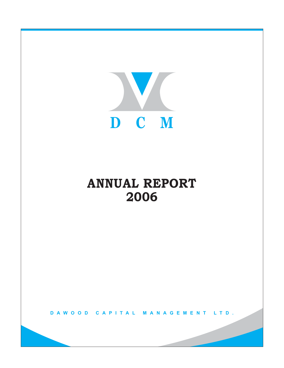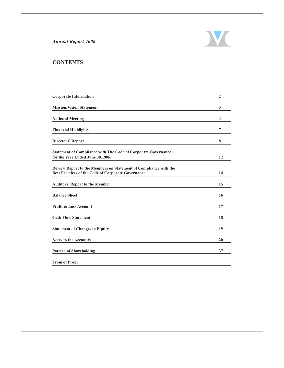

# **CONTENTS**

| <b>Corporate Information</b>                                                                                           | $\mathbf{2}$            |
|------------------------------------------------------------------------------------------------------------------------|-------------------------|
| <b>Mission/Vision Statement</b>                                                                                        | 3                       |
| <b>Notice of Meeting</b>                                                                                               | $\overline{\mathbf{4}}$ |
| <b>Financial Highlights</b>                                                                                            | 7                       |
| <b>Directors' Report</b>                                                                                               | 8                       |
| <b>Statement of Compliance with The Code of Corporate Governance</b><br>for the Year Ended June 30, 2006               | 12                      |
| Review Report to the Members on Statement of Compliance with the<br>Best Practices of the Code of Corporate Governance | 14                      |
| <b>Auditors' Report to the Member</b>                                                                                  | 15                      |
| <b>Balance Sheet</b>                                                                                                   | 16                      |
| <b>Profit &amp; Loss Account</b>                                                                                       | 17                      |
| <b>Cash Flow Statement</b>                                                                                             | 18                      |
| <b>Statement of Changes in Equity</b>                                                                                  | 19                      |
| <b>Notes to the Accounts</b>                                                                                           | 20                      |
| <b>Pattern of Shareholding</b>                                                                                         | 37                      |
| <b>From of Proxy</b>                                                                                                   |                         |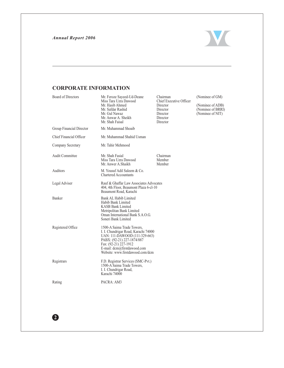2



# **CORPORATE INFORMATION**

| <b>Board of Directors</b> | Mr. Feroze Sayeed-Ud-Deane<br>Miss Tara Uzra Dawood<br>Mr. Hasib Ahmed<br>Mr. Safdar Rashid<br>Mr. Gul Nawaz<br>Mr. Anwar A. Sheikh<br>Mr. Shah Faisal                                                                        | Chairman<br>Chief Executive Officer<br>Director<br>Director<br>Director<br>Director<br>Director | (Nominee of GM)<br>(Nominee of ADB)<br>(Nominee of BRRI)<br>(Nominee of NIT) |
|---------------------------|-------------------------------------------------------------------------------------------------------------------------------------------------------------------------------------------------------------------------------|-------------------------------------------------------------------------------------------------|------------------------------------------------------------------------------|
| Group Financial Director  | Mr. Muhammad Shoaib                                                                                                                                                                                                           |                                                                                                 |                                                                              |
| Chief Financial Officer   | Mr. Muhammad Shahid Usman                                                                                                                                                                                                     |                                                                                                 |                                                                              |
| Company Secretary         | Mr. Tahir Mehmood                                                                                                                                                                                                             |                                                                                                 |                                                                              |
| <b>Audit Committee</b>    | Mr. Shah Fasial<br>Miss Tara Uzra Dawood<br>Mr. Anwer A.Shaikh                                                                                                                                                                | Chairman<br>Member<br>Member                                                                    |                                                                              |
| Auditors                  | M. Yousuf Adil Saleem & Co.<br><b>Chartered Accountants</b>                                                                                                                                                                   |                                                                                                 |                                                                              |
| Legal Adviser             | Rauf & Ghaffar Law Associates Advocates<br>404, 4th Floor, Beaumont Plaza 6-cl-10<br>Beaumont Road, Karachi                                                                                                                   |                                                                                                 |                                                                              |
| Banker                    | Bank AL Habib Limited<br>Habib Bank Limited<br>KASB Bank Limited<br>Metripolitan Bank Limited<br>Oman International Bank S.A.O.G.<br>Soneri Bank Limited                                                                      |                                                                                                 |                                                                              |
| Registered Office         | 1500-A Saima Trade Towers,<br>I. I. Chundrigar Road, Karachi 74000<br>UAN: 111-DAWOOD (111-329-663)<br>PABX: (92-21) 227-1874/887<br>Fax: (92-21) 227-1912<br>E-mail: dcm@firstdawood.com<br>Website: www.firstdawood.com/dcm |                                                                                                 |                                                                              |
| Registrars                | F.D. Registrar Services (SMC-Pvt.)<br>1500-A Saima Trade Towers,<br>I. I. Chundrigar Road,<br>Karachi 74000                                                                                                                   |                                                                                                 |                                                                              |
| Rating                    | PACRA: AM3                                                                                                                                                                                                                    |                                                                                                 |                                                                              |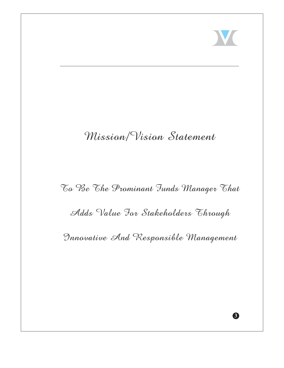

3

# Mission/Vision Statement

# To Be The Prominant Funds Manager That

# Adds Value For Stakeholders Through

Innovative And Responsible Management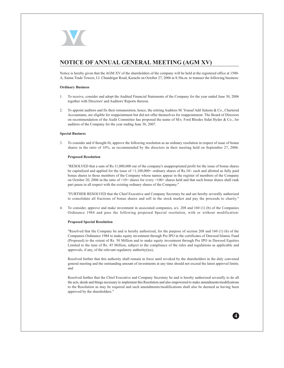

# NOTICE OF ANNUAL GENERAL MEETING (AGM XV)

Notice is hereby given that the AGM XV of the shareholders of the company will be held at the registered office at 1500-A, Saima Trade Towers, I.I. Chundrigar Road, Karachi on October 27, 2006 at 8:30a.m. to transact the following business:

## **Ordinary Business**

- 1. To receive, consider and adopt the Audited Financial Statements of the Company for the year ended June 30, 2006 together with Directors' and Auditors' Reports thereon.
- 2. To appoint auditors and fix their remuneration, hence, the retiring Auditors M. Yousuf Adil Saleem & Co., Chartered Accountants, are eligible for reappointment but did not offer themselves for reappointment. The Board of Directors on recommendation of the Audit Committee has proposed the name of M/s. Ford Rhodes Sidat Hyder & Co., for auditors of the Company for the year ending June 30, 2007.

#### **Special Business**

 $3.$ To consider and if thought fit, approve the following resolution as an ordinary resolution in respect of issue of bonus shares in the ratio of 10%, as recommended by the directors in their meeting held on September 27, 2006.

#### **Proposed Resolution**

"RESOLVED that a sum of Rs.11,000,000 out of the company's unappropriated profit for the issue of bonus shares be capitalized and applied for the issue of  $=1,100,000=$  ordinary shares of Rs.10/- each and allotted as fully paid bonus shares to those members of the Company whose names appear in the register of members of the Company on October 20, 2006 in the ratio of =10= shares for every =100= shares held and that such bonus shares shall rank pari passu in all respect with the existing ordinary shares of the Company."

"FURTHER RESOLVED that the Chief Executive and Company Secretary be and are hereby severally authorized to consolidate all fractions of bonus shares and sell in the stock market and pay the proceeds to charity."

To consider, approve and make investment in associated companies,  $u/s$ . 208 and 160 (1) (b) of the Companies 4. Ordinance 1984 and pass the following proposed Special resolution, with or without modification:

#### **Proposed Special Resolution**

"Resolved that the Company be and is hereby authorized, for the purpose of section 208 and 160 (1) (b) of the Companies Ordinance 1984 to make equity investment through Pre IPO in the certificates of Dawood Islamic Fund (Proposed) to the extent of Rs. 50 Million and to make equity investment through Pre IPO in Dawood Equities Limited to the tune of Rs. 45 Million, subject to the compliance of the rules and regulations as applicable and approvals, if any, of the relevant regulatory authority(ies);

Resolved further that this authority shall remain in force until revoked by the shareholders in the duly convened general meeting and the outstanding amount of investments at any time should not exceed the latest approval limits; and

Resolved further that the Chief Executive and Company Secretary be and is hereby authorized severally to do all the acts, deeds and things necessary to implement this Resolution and also empowered to make amendments/modifications to the Resolution as may be required and such amendments/modifications shall also be deemed as having been approved by the shareholders."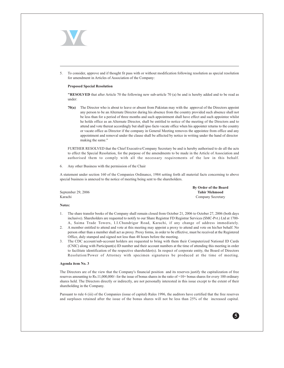

To consider, approve and if thought fit pass with or without modification following resolution as special resolution for amendment in Articles of Association of the Company:

#### **Proposed Special Resolution**

"RESOLVED that after Article 70 the following new sub-article 70 (a) be and is hereby added and to be read as under:

70(a) The Director who is about to leave or absent from Pakistan may with the approval of the Directors appoint any person to be an Alternate Director during his absence from the country provided such absence shall not be less than for a period of three months and such appointment shall have effect and such appointee whilst he holds office as an Alternate Director, shall be entitled to notice of the meeting of the Directors and to attend and vote thereat accordingly but shall ipso facto vacate office when his appointer returns to the country or vacate office as Director if the company in General Meeting removes the appointee from office and any appointment and removal under the clause shall be affected by notice in writing under the hand of director making the same."

FURTHER RESOLVED that the Chief Executive/Company Secretary be and is hereby authorised to do all the acts to effect the Special Resolution, for the purpose of the amendments to be made in the Article of Association and authorised them to comply with all the necessary requirements of the law in this behalf.

Any other Business with the permission of the Chair 6.

A statement under section 160 of the Companies Ordinance, 1984 setting forth all material facts concerning to above special business is annexed to the notice of meeting being sent to the shareholders.

September 29, 2006 Karachi

By Order of the Board **Tahir Mehmood** Company Secretary

#### Notes:

- 1. The share transfer books of the Company shall remain closed from October 21, 2006 to October 27, 2006 (both days inclusive). Shareholders are requested to notify to our Share Registrar FD Registrar Services (SMC-Pvt.) Ltd at 1700-A, Saima Trade Towers, I.I.Chundrigar Road, Karachi, if any change of address immediately.
- 2. A member entitled to attend and vote at this meeting may appoint a proxy to attend and vote on his/her behalf. No person other than a member shall act as proxy. Proxy forms, in order to be effective, must be received at the Registered Office, duly stamped and signed not less than 48 hours before the meeting.
- $3<sub>1</sub>$ The CDC account/sub-account holders are requested to bring with them their Computerized National ID Cards (CNIC) along with Participant(s) ID number and their account numbers at the time of attending this meeting in order to facilitate identification of the respective shareholder(s). In respect of corporate entity, the Board of Directors Resolution/Power of Attorney with specimen signatures be produced at the time of meeting.

#### Agenda item No. 3

The Directors are of the view that the Company's financial position and its reserves justify the capitalization of free reserves amounting to Rs.11,000,000/- for the issue of bonus shares in the ratio of =10= bonus shares for every 100 ordinary shares held. The Directors directly or indirectly, are not personally interested in this issue except to the extent of their shareholding in the Company.

Pursuant to rule 6 (iii) of the Companies (issue of capital) Rules 1996, the auditors have certified that the free reserves and surpluses retained after the issue of the bonus shares will not be less than 25% of the increased capital.

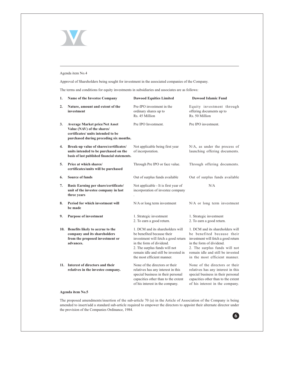

### Agenda item No.4

Approval of Shareholders being sought for investment in the associated companies of the Company.

The terms and conditions for equity investments in subsidiaries and associates are as follows:

| 1.               | Name of the Investee Company                                                                                                                        | <b>Dawood Equities Limited</b>                                                                                                                                                                                                           | Dawood Islamic Fund                                                                                                                                                                                                                      |
|------------------|-----------------------------------------------------------------------------------------------------------------------------------------------------|------------------------------------------------------------------------------------------------------------------------------------------------------------------------------------------------------------------------------------------|------------------------------------------------------------------------------------------------------------------------------------------------------------------------------------------------------------------------------------------|
| $\overline{2}$ . | Nature, amount and extent of the<br>investment                                                                                                      | Pre-IPO investment in the<br>ordinary shares up to<br>Rs. 45 Million                                                                                                                                                                     | Equity investment through<br>offering documents up to<br>Rs. 50 Million                                                                                                                                                                  |
| 3.               | <b>Average Market price/Net Asset</b><br>Value (NAV) of the shares/<br>certificates/ units intended to be<br>purchased during preceding six months. | Pre IPO Investment.                                                                                                                                                                                                                      | Pre IPO investment.                                                                                                                                                                                                                      |
| 4.               | Break-up value of shares/certificates/<br>units intended to be purchased on the<br>basis of last published financial statements.                    | Not applicable being first year<br>of incorporation.                                                                                                                                                                                     | N/A, as under the process of<br>launching offering documents.                                                                                                                                                                            |
| 5.               | Price at which shares/<br>certificates/units will be purchased                                                                                      | Through Pre IPO or face value.                                                                                                                                                                                                           | Through offering documents.                                                                                                                                                                                                              |
| 6.               | <b>Source of funds</b>                                                                                                                              | Out of surplus funds available                                                                                                                                                                                                           | Out of surplus funds available                                                                                                                                                                                                           |
| 7.               | Basic Earning per share/certificate/<br>unit of the investee company in last<br>three years                                                         | Not applicable - It is first year of<br>incorporation of investee company                                                                                                                                                                | N/A                                                                                                                                                                                                                                      |
| 8.               | Period for which investment will<br>be made                                                                                                         | N/A or long term investment                                                                                                                                                                                                              | N/A or long term investment                                                                                                                                                                                                              |
| 9.               | <b>Purpose of investment</b>                                                                                                                        | 1. Strategic investment<br>2. To earn a good return.                                                                                                                                                                                     | 1. Strategic investment<br>2. To earn a good return.                                                                                                                                                                                     |
| 10.              | Benefits likely to accrue to the<br>company and its shareholders<br>from the proposed investment or<br>advances.                                    | 1. DCM and its shareholders will<br>be benefited because their<br>investment will fetch a good return<br>in the form of dividend.<br>2. The surplus funds will not<br>remain idle and still be invested in<br>the most efficient manner. | 1. DCM and its shareholders will<br>be benefited because their<br>investment will fetch a good return<br>in the form of dividend.<br>2. The surplus funds will not<br>remain idle and still be invested<br>in the most efficient manner. |
| 11.              | Interest of directors and their<br>relatives in the investee company.                                                                               | None of the directors or their<br>relatives has any interest in this<br>special business in their personal<br>capacities other than to the extent<br>of his interest in the company.                                                     | None of the directors or their<br>relatives has any interest in this<br>special business in their personal<br>capacities other than to the extent<br>of his interest in the company.                                                     |

## Agenda item No.5

The proposed amendments/insertion of the sub-article 70 (a) in the Article of Association of the Company is being amended to insert/add a standard sub-article required to empower the directors to appoint their alternate director under the provision of the Companies Ordinance, 1984.

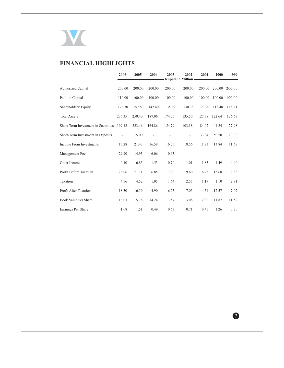

# **FINANCIAL HIGHLIGHTS**

|                                     | 2006                     | 2005   | 2004   | 2003   | 2002<br><b>Rupees in Million -</b> | 2001   | 2000   | 1999                     |
|-------------------------------------|--------------------------|--------|--------|--------|------------------------------------|--------|--------|--------------------------|
| <b>Authorized Capital</b>           | 200.00                   | 200.00 | 200.00 | 200.00 | 200.00                             | 200.00 | 200.00 | 200.00                   |
| Paid-up Capital                     | 110.00                   | 100.00 | 100.00 | 100.00 | 100.00                             | 100.00 | 100.00 | 100.00                   |
| Shareholders' Equity                | 176.30                   | 157.80 | 142.40 | 135.69 | 130.78                             | 123.20 | 118.48 | 115.91                   |
| <b>Total Assets</b>                 | 236.35                   | 259.40 | 187.06 | 174.75 | 135.50                             | 127.38 | 122.64 | 126.67                   |
| Short-Term Investment in Securities | 199.42                   | 223.46 | 164.86 | 154.79 | 103.18                             | 84.07  | 44.24  | 27.98                    |
| Short-Term Investment in Deposits   | $\overline{\phantom{0}}$ | 15.00  |        |        | $\overline{\phantom{m}}$           | 33.04  | 50.50  | 20.00                    |
| Income From Investments             | 15.28                    | 21.43  | 16.58  | 16.75  | 18.56                              | 11.83  | 13.84  | 11.69                    |
| Management Fee                      | 29.90                    | 14.93  | 6.06   | 0.63   |                                    |        |        | $\overline{\phantom{0}}$ |
| Other Income                        | 0.40                     | 6.85   | 1.53   | 0.70   | 1.01                               | 1.83   | 4.49   | 4.40                     |
| <b>Profit Before Taxation</b>       | 23.06                    | 21.11  | 6.85   | 7.90   | 9.60                               | 6.25   | 13.68  | 9.88                     |
| Taxation                            | 4.56                     | 4.52   | 1.95   | 1.64   | 2.55                               | 1.17   | 1.10   | 2.81                     |
| Profit After Taxation               | 18.50                    | 16.59  | 4.90   | 6.25   | 7.05                               | 4.54   | 12.57  | 7.07                     |
| Book Value Per Share                | 16.03                    | 15.78  | 14.24  | 13.57  | 13.08                              | 12.30  | 11.87  | 11.59                    |
| Earnings Per Share                  | 1.68                     | 1.51   | 0.49   | 0.63   | 0.71                               | 0.45   | 1.26   | 0.70                     |

 $\bullet$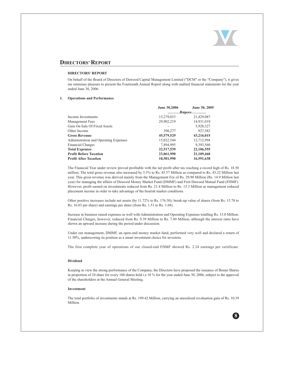

 $\mathbf{R}$ 

# **DIRECTORS' REPORT**

#### **DIRECTORS' REPORT**

On behalf of the Board of Directors of Dawood Capital Management Limited ("DCM" or the "Company"), it gives me immense pleasure to present the Fourteenth Annual Report along with audited financial statements for the year ended June 30, 2006.

#### **Operations and Performance**  $1.$

|                                              | June 30,2006 | June 30, 2005 |  |
|----------------------------------------------|--------------|---------------|--|
|                                              |              | Rupees        |  |
| Income Investments                           | 15,279,033   | 21,429,087    |  |
| Management Fees                              | 29,902,219   | 14,931,019    |  |
| Gain On Sale Of Fixed Assets                 |              | 5,928,327     |  |
| Other Income                                 | 398,277      | 927,582       |  |
| <b>Gross Revenue</b>                         | 45,579,529   | 43,216,015    |  |
| <b>Administration and Operating Expenses</b> | 15,022,544   | 12,712,994    |  |
| <b>Financial Charges</b>                     | 7,494,995    | 9,393,560     |  |
| <b>Total Expenses</b>                        | 22,517,539   | 22,106,555    |  |
| <b>Profit Before Taxation</b>                | 23,061,990   | 21,109,460    |  |
| <b>Profit After Taxation</b>                 | 18,501,990   | 16,591,638    |  |

The Financial Year under review proved profitable with the net profit after tax reaching a record high of Rs. 18.50 million. The total gross revenue also increased by 5.5% to Rs. 45.57 Million as compared to Rs. 43.22 Million last year. This gross revenue was derived mainly from the Management Fee of Rs. 29.90 Million (Rs. 14.9 Million last year) for managing the affairs of Dawood Money Market Fund (DMMF) and First Dawood Mutual Fund (FDMF). However, profit earned on investments reduced from Rs. 21.4 Million to Rs. 15.3 Million as management reduced placement income in order to take advantage of the bearish market conditions.

Other positive increases include net assets (by 11.72% to Rs. 176.30), break-up value of shares (from Rs. 15.78 to Rs. 16.03 per share) and earnings per share (from Rs. 1.51 to Rs. 1.68).

Increase in business raised expenses as well with Administration and Operating Expenses totalling Rs. 15.0 Million. Financial Charges, however, reduced from Rs. 9.39 Million to Rs. 7.49 Million, although the interest rates have shown an upward increase during the period under discussion.

Under our management, DMMF, an open-end money market fund, performed very well and declared a return of 11.50%, underscoring its position as a smart investment choice for investors.

The first complete year of operations of our closed-end FDMF showed Rs. 2.24 earnings per certificate.

#### **Dividend**

Keeping in view the strong performance of the Company, the Directors have proposed the issuance of Bonus Shares in proportion of 10 share for every 100 shares held i.e 10 % for the year ended June 30, 2006, subject to the approval of the shareholders at the Annual General Meeting.

## Investment

The total portfolio of investments stands at Rs. 199.42 Million, carrying an unrealized revaluation gain of Rs. 10.39 Million.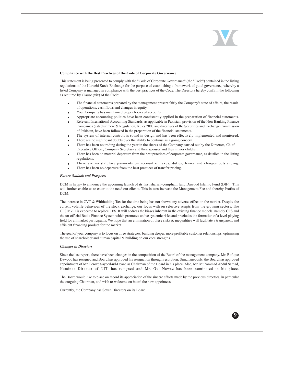

#### Compliance with the Best Practices of the Code of Corporate Governance

This statement is being presented to comply with the "Code of Corporate Governance" (the "Code") contained in the listing regulations of the Karachi Stock Exchange for the purpose of establishing a framework of good governance, whereby a listed Company is managed in compliance with the best practices of the Code. The Directors hereby confirm the following as required by Clause (xix) of the Code:

- The financial statements prepared by the management present fairly the Company's state of affairs, the result of operations, cash flows and changes in equity.
- Your Company has maintained proper books of accounts.
- Appropriate accounting policies have been consistently applied in the preparation of financial statements.
- Relevant International Accounting Standards, as applicable in Pakistan, provision of the Non-Banking Finance Companies (establishment & Regulation) Rules 2003 and directives of the Securities and Exchange Commission of Pakistan, have been followed in the preparation of the financial statements.
- The system of internal controls is sound in design and has been effectively implemented and monitored.
- There are no significant doubts over the ability to continue as a going concern.
- There has been no trading during the year in the shares of the Company carried out by the Directors, Chief Executive Officer, Company Secretary and their spouses and their minor children.
- There has been no material departure from the best practices of corporate governance, as detailed in the listing regulations.
- There are no statutory payments on account of taxes, duties, levies and charges outstanding.
- There has been no departure from the best practices of transfer pricing.

#### **Future Outlook and Prospects**

DCM is happy to announce the upcoming launch of its first shariah-compliant fund Dawood Islamic Fund (DIF). This will further enable us to cater to the need our clients. This in turn increase the Management Fee and thereby Profits of DCM.

The increase in CVT & Withholding Tax for the time being has not shown any adverse effect on the market. Despite the current volatile behaviour of the stock exchange, our focus with on selective scripts from the growing sectors. The CFS Mk II is expected to replace CFS. It will address the biases inherent in the existing finance models, namely CFS and the un-official Badla Finance System which promotes undue systemic risks and precludes the formation of a level playing field for all market participants. We hope that an elimination of these risks & inequalities will facilitate a transparent and efficient financing product for the market.

The goal of your company is to focus on three strategies: building deeper, more profitable customer relationships; optimizing the use of shareholder and human capital & building on our core strengths.

#### **Changes in Directors**

Since the last report, there have been changes in the composition of the Board of the management company. Mr. Rafique Dawood has resigned and Board has approved his resignation through resolution. Simultaneously, the Board has approved appointment of Mr. Feroze Sayeed-ud-Deane as Chairman of the Board in his place. Also, Mr. Muhammad Abdul Samad, Nominee Director of NIT, has resigned and Mr. Gul Nawaz has been nominated in his place.

The Board would like to place on record its appreciation of the sincere efforts made by the previous directors, in particular the outgoing Chairman, and wish to welcome on board the new appointees.

Currently, the Company has Seven Directors on its Board.

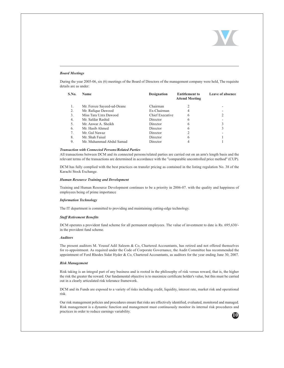

### **Board Meetings**

During the year 2005-06, six (6) meetings of the Board of Directors of the management company were held, The requisite details are as under:

| S.No. | <b>Name</b>                | <b>Designation</b> | <b>Entitlement to</b><br><b>Attend Meeting</b> | Leave of absence |
|-------|----------------------------|--------------------|------------------------------------------------|------------------|
|       | Mr. Feroze Sayeed-ud-Deane | Chairman           |                                                |                  |
| 2.    | Mr. Rafique Dawood         | Ex-Chairman        |                                                |                  |
| 3.    | Miss Tara Uzra Dawood      | Chief Executive    | 6                                              |                  |
| 4.    | Mr. Safdar Rashid          | Director           | 6                                              |                  |
| .5.   | Mr. Anwar A. Sheikh        | Director           | 6                                              |                  |
| 6.    | Mr. Hasib Ahmed            | Director           | 6                                              |                  |
| 7.    | Mr. Gul Nawaz              | Director           |                                                |                  |
| 8.    | Mr. Shah Faisal            | Director           | 6                                              |                  |
| 9.    | Mr. Muhammad Abdul Samad   | Director           |                                                |                  |

#### **Transaction with Connected Persons/Related Parties**

All transactions between DCM and its connected persons/related parties are carried out on an arm's length basis and the relevant terms of the transactions are determined in accordance with the "comparable uncontrolled price method" (CUP).

DCM has fully complied with the best practices on transfer pricing as contained in the listing regulation No. 38 of the Karachi Stock Exchange.

#### **Human Resource Training and Development**

Training and Human Resource Development continues to be a priority in 2006-07, with the quality and happiness of employees being of prime importance

#### **Information Technology**

The IT department is committed to providing and maintaining cutting-edge technology.

#### **Staff Retirement Benefits**

DCM operates a provident fund scheme for all permanent employees. The value of investment to date is Rs. 695,630/in the provident fund scheme.

#### **Auditors**

The present auditors M. Yousuf Adil Saleem & Co, Chartered Accountants, has retired and not offered themselves for re-appointment. As required under the Code of Corporate Governance, the Audit Committee has recommended the appointment of Ford Rhodes Sidat Hyder & Co, Chartered Accountants, as auditors for the year ending June 30, 2007.

#### **Risk Management**

Risk taking is an integral part of any business and is rooted in the philosophy of risk versus reward, that is, the higher the risk the greater the reward. Our fundamental objective is to maximize certificate holder's value, but this must be carried out in a clearly articulated risk tolerance framework.

DCM and its Funds are exposed to a variety of risks including credit, liquidity, interest rate, market risk and operational risk.

Our risk management policies and procedures ensure that risks are effectively identified, evaluated, monitored and managed. Risk management is a dynamic function and management must continuously monitor its internal risk procedures and practices in order to reduce earnings variability.

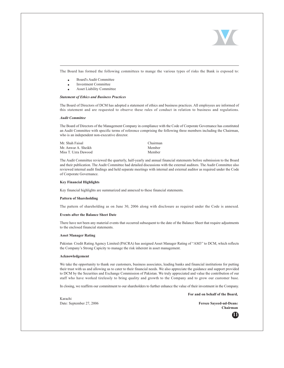

The Board has formed the following committees to mange the various types of risks the Bank is exposed to:

- Board's Audit Committee
- Investment Committee
- Asset Liability Committee

### **Statement of Ethics and Business Practices**

The Board of Directors of DCM has adopted a statement of ethics and business practices. All employees are informed of this statement and are requested to observe these rules of conduct in relation to business and regulations.

#### **Audit Committee**

The Board of Directors of the Management Company in compliance with the Code of Corporate Governance has constituted an Audit Committee with specific terms of reference comprising the following three members including the Chairman, who is an independent non-executive director.

| Mr. Shah Faisal     | Chairman |
|---------------------|----------|
| Mr. Anwar A. Sheikh | Member   |
| Miss T. Uzra Dawood | Member   |

The Audit Committee reviewed the quarterly, half-yearly and annual financial statements before submission to the Board and their publication. The Audit Committee had detailed discussions with the external auditors. The Audit Committee also reviewed internal audit findings and held separate meetings with internal and external auditor as required under the Code of Corporate Governance.

#### **Key Financial Highlights**

Key financial highlights are summarized and annexed to these financial statements.

#### **Pattern of Shareholding**

The pattern of shareholding as on June 30, 2006 along with disclosure as required under the Code is annexed.

#### **Events after the Balance Sheet Date**

There have not been any material events that occurred subsequent to the date of the Balance Sheet that require adjustments to the enclosed financial statements.

#### **Asset Manager Rating**

Pakistan Credit Rating Agency Limited (PACRA) has assigned Asset Manager Rating of "AM3" to DCM, which reflects the Company's Strong Capicity to manage the risk inherent in asset management.

#### Acknowledgement

We take the opportunity to thank our customers, business associates, leading banks and financial institutions for putting their trust with us and allowing us to cater to their financial needs. We also appreciate the guidance and support provided to DCM by the Securities and Exchange Commission of Pakistan. We truly appreciated and value the contribution of our staff who have worked tirelessly to bring quality and growth to the Company and to grow our customer base.

In closing, we reaffirm our commitment to our shareholders to further enhance the value of their investment in the Company.

Karachi Date: September 27, 2006

**Feroze Sayeed-ud-Deane** Chairman

For and on behalf of the Board,

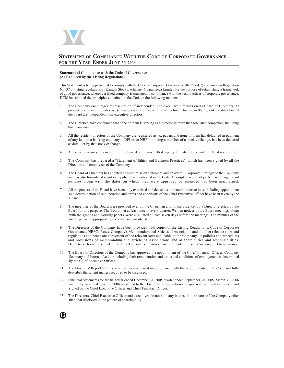

## **STATEMENT OF COMPLIANCE WITH THE CODE OF CORPORATE GOVERNANCE** FOR THE YEAR ENDED JUNE 30, 2006

#### **Statement of Compliance with the Code of Governance** (As Required by the Listing Regulations).

This Statement is being presented to comply with the Code of Corporate Governance (the "Code") contained in Regulation No. 37 of listing regulations of Karachi Stock Exchange (Guaranteed) Limited for the purpose of establishing a framework of good governance, whereby a listed company is managed in compliance with the best practices of corporate governance. DCM has applied the principles contained in the Code in the following manner:

- $1.$ The Company encourages representation of independent non-executive directors on its Board of Directors. At present, the Board includes six (6) independent non-executive directors. This mean 85.71% of the directors of the board are independent non-executive directors.
- The Directors have confirmed that none of them is serving as a director in more then ten listed companies, including  $2.$ this Company.
- All the resident directors of the Company are registered as tax payers and none of them has defaulted in payment  $3.$ of any loan to a banking company, a DFI or an NBFI or, being a member of a stock exchange, has been declared as defaulter by that stock exchange.
- A casual vacancy occurred in the Board and was filled up by the directors within 30 days thereof.  $4.$
- The Company has prepared a "Statement of Ethics and Business Practices", which has been signed by all the 5. Directors and employees of the Company.
- The Board of Directors has adopted a vision/mission statement and an overall Corporate Strategy of the Company 6 and has also formulated significant policies as mentioned in the Code. A complete record of particulars of significant policies along with the dates on which they were approved or amended has been maintained.
- All the powers of the Board have been duly exercised and decisions on material transactions, including appointment 7. and determination of remuneration and terms and conditions of the Chief Executive Officer have been taken by the **Board**
- The meetings of the Board were presided over by the Chairman and, in his absence, by a Director elected by the 8 Board for this purpose. The Board met at least once in every quarter. Written notices of the Board meetings, along with the agenda and working papers, were circulated at least seven days before the meetings. The minutes of the meetings were appropriately recorded and circulated.
- 9 The Directors of the Company have been provided with copies of the Listing Regulations, Code of Corporate Governance, NBFCs Rules, Company's Memorandum and Articles of Association and all other relevant rules and regulations and hence are conversant of the relevant laws applicable to the Company, its policies and procedures and provisions of memorandum and article of Associations and of their duties and responsibilities. Directors have also attended talks and seminars on the subject of Corporate Governance.
- 10. The Board of Directors of the Company has approved the appointment of the Chief Financial Officer, Company Secretary and Internal Auditor including their remuneration and terms and conditions of employment as determined by the Chief Executive Officer.
- 11. The Directors' Report for this year has been prepared in compliance with the requirements of the Code and fully describes the salient matters required to be disclosed.
- 12. Financial Statements for the half-year ended December 31, 2005 quarter ended September 30, 2005, March 31, 2006 and full year ended June 30, 2006 presented to the Board for consideration and approval, were duly endorsed and signed by the Chief Executive Officer and Chief Financial Officer.
- 13. The Directors, Chief Executive Officer and executives do not hold any interest in the shares of the Company other than that disclosed in the pattern of shareholding.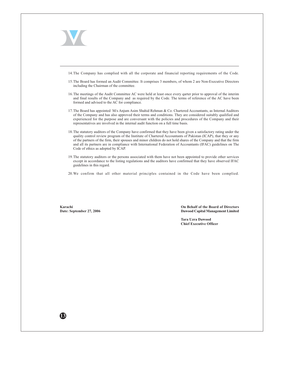

13)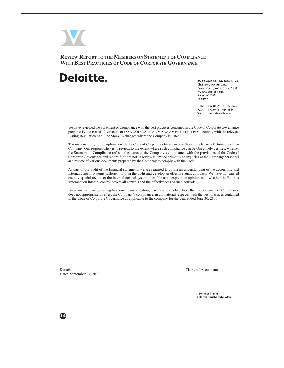

**REVIEW REPORT TO THE MEMBERS ON STATEMENT OF COMPLIANCE** WITH BEST PRACTICIES OF CODE OF CORPORATE GOVERNANCE

# Deloitte.

M. Yousuf Adil Saleem & Co Chartered Accountants Cavish Court, A-35, Block 7 & 8 KCHSU, Sharea Faisal, Karachi-75350 Pakistan

UAN: +92 (0) 21 111-55-2626  $+92(0)$  21-454 1314 Fax: Web: www.deloitte.com

We have reviewed the Statement of Compliance with the best practices contained in the Code of Corporate Governance prepared by the Board of Directors of DAWOOD CAPITAL MANAGMENT LIMITED to comply with the relevant Listing Regulation of all the Stock Exchanges where the Company is listed.

The responsibility for compliance with the Code of Corporate Governance is that of the Board of Directors of the Company. Our responsibility is to review, to the extent where such compliance can be objectively verified, whether the Statment of Compliance reflects the status of the Company's compliance with the provisions of the Code of Corporate Governance and report if it does not. A review is limited primarily to inquiries of the Company personnel and review of various documents prepared by the Company to comply with the Code.

As part of our audit of the financial statements we are required to obtain an understanding of the accounting and internal control systems sufficient to plan the audit and develop an effective audit approach. We have not carried out any special review of the internal control system to enable us to express an opinion as to whether the Board's statement on internal control covers all controls and the effectiveness of such controls.

Based on our review, nothing has come to our attention, which causes us to believe that the Statement of Compliance does not appropriately reflect the Company's compliance, in all material respects, with the best practices contained in the Code of Corporate Governance as applicable to the company for the year ended June 30, 2006.

Karachi Date: September 27, 2006 **Chartered Accountants** 

A member firm of **Deloitte Touche Tohmatsu** 

14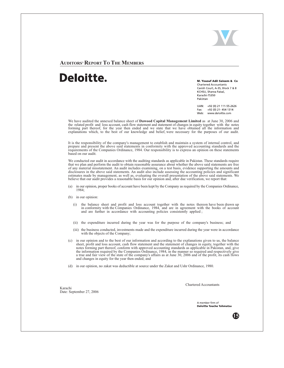

**AUDITORS' REPORT TO THE MEMBERS** 

# Deloitte.

M. Yousuf Adil Saleem & Co. **Chartered Accountants** Cavish Court, A-35, Block 7 & 8 KCHSU, Sharea Faisal, Karachi-75350 Pakistan

UAN: +92 (0) 21 111-55-2626  $+92(0)$  21-454 1314 Fax: Web: www.deloitte.com

We have audited the annexed balance sheet of Dawood Capital Management Limited as at June 30, 2006 and the related profit and loss account, cash flow statement and statement of changes in equity together with the notes forming part thereof, for the year then ended and we state that we have obtained all the information and explanations which, to the best of our knowledge and belief, were necessary for the purposes of our audit.

It is the responsibility of the company's management to establish and maintain a system of internal control, and prepare and present the above said statements in conformity with the approved accounting standards and the requirements of the Companies Ordinance, 1984. Our responsibility is to express an opinion on these statements based on our audit.

We conducted our audit in accordance with the auditing standards as applicable in Pakistan. These standards require that we plan and perform the audit to obtain reasonable assurance about whether the above said statements are free of any material misstatement. An audit includes examining, on a test basis, evidence supporting the amounts and disclosures in the above said statements. An audit also include assessing the accounting policies and significant estimates made by management, as well as, evaluating the overall presentation of the above said statements. We believe that our audit provides a reasonable basis for our opinion and, after due verification, we report that:

- in our opinion, proper books of account have been kept by the Company as required by the Companies Ordinance,  $(a)$ 1984:
- $(b)$  in our opinion:
	- the balance sheet and profit and loss account together with the notes thereon have been drawn up<br>in conformity with the Companies Ordinance, 1984, and are in agreement with the books of account  $(i)$ and are further in accordance with accounting policies consistently applied;
	- (ii) the expenditure incurred during the year was for the purpose of the company's business; and
	- (iii) the business conducted, investments made and the expenditure incurred during the year were in accordance with the objects of the Company;
- (c) in our opinion and to the best of our information and according to the explanations given to us, the balance sheet, profit and loss account, cash flow statement and the statement of changes in equity, together with the notes forming part thereof, conform with approved accounting standards as applicable in Pakistan, and, give the information required by the Companies Ordinance, 1984, in the manner so required and respectively give a true and fair view of the state of the company's affairs as at June 30, 2006 and of the profit, its cash flows and changes in equity for the year then ended; and
- (d) in our opinion, no zakat was deductible at source under the Zakat and Ushr Ordinance, 1980.

Karachi Date: September 27, 2006 **Chartered Accountants** 

A member firm of Deloitte Touche Tohmatsu

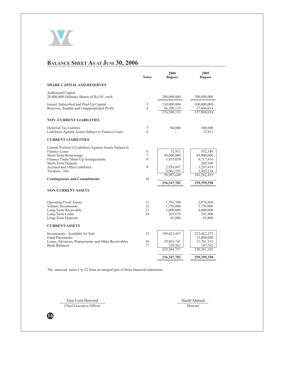

# **BALANCE SHEET AS AT JUNE 30, 2006**

|                                                                                                                                                                                                                                                                                        | <b>Notes</b>           | 2006<br><b>Rupees</b>                                                                      | 2005<br><b>Rupees</b>                                                                                 |
|----------------------------------------------------------------------------------------------------------------------------------------------------------------------------------------------------------------------------------------------------------------------------------------|------------------------|--------------------------------------------------------------------------------------------|-------------------------------------------------------------------------------------------------------|
| <b>SHARE CAPITAL AND RESERVES</b>                                                                                                                                                                                                                                                      |                        |                                                                                            |                                                                                                       |
| <b>Authorised Capital</b><br>20,000,000 Ordinary Shares of Rs.10/- each                                                                                                                                                                                                                |                        | 200,000,000                                                                                | 200,000,000                                                                                           |
| Issued, Subscribed and Paid-Up Capital<br>Reserves, Surplus and Unappropriated Profit                                                                                                                                                                                                  | 3<br>4                 | 110,000,000<br>66,300,133<br>176,300,133                                                   | 100,000,000<br>57,804,014<br>157,804,014                                                              |
| <b>NON-CURRENT LIABILITIES</b>                                                                                                                                                                                                                                                         |                        |                                                                                            |                                                                                                       |
| Deferred Tax Liability<br>Liabilities Against Assets Subject to Finance Lease                                                                                                                                                                                                          | 5<br>6                 | 60,000                                                                                     | 300,000<br>32,911                                                                                     |
| <b>CURRENT LIABILITIES</b>                                                                                                                                                                                                                                                             |                        |                                                                                            |                                                                                                       |
| Current Portion of Liabilities Against Assets Subject to<br>Finance Lease<br>Short-Term Borrowings<br>Finance Under Mark-Up Arrangements<br>Short-Term Deposit<br>Accrued and Other Liabilities<br>Taxation - Net<br><b>Contingencies and Commitments</b><br><b>NON-CURRENT ASSETS</b> | 6<br>7<br>8<br>9<br>10 | 32,911<br>49,000,000<br>3,935,659<br>2,956,887<br>4,062,193<br>59,987,649<br>236, 347, 782 | 552,349<br>89,000,000<br>6,717,916<br>269,100<br>3,293,914<br>1,429,154<br>101,262,433<br>259,399,358 |
| <b>Operating Fixed Assets</b><br>Venture Investments<br>Long-Term Receivable<br>Long-Term Loans<br>Long-Term Deposits                                                                                                                                                                  | 11<br>12<br>13<br>14   | 1,701,549<br>1,750,000<br>3,000,000<br>265,676<br>65,800                                   | 2,876,966<br>1,750,000<br>4,000,000<br>345,400<br>65,800                                              |
| <b>CURRENT ASSETS</b>                                                                                                                                                                                                                                                                  |                        |                                                                                            |                                                                                                       |
| Investments - Available for Sale<br><b>Fund Placements</b><br>Loans, Advances, Prepayments and Other Receivables<br><b>Bank Balances</b>                                                                                                                                               | 15<br>16<br>17         | 199,421,453<br>29,803,741<br>339,563<br>229,564,757<br>236, 347, 782                       | 223,462,275<br>15,000,000<br>11,701,155<br>197,762<br>250,361,192<br>259,399,358                      |
|                                                                                                                                                                                                                                                                                        |                        |                                                                                            |                                                                                                       |

The annexed notes 1 to 32 form an integral part of these financial statements

Tara Uzra Dawood Chief Executive Officer Hasib Ahmed

Director

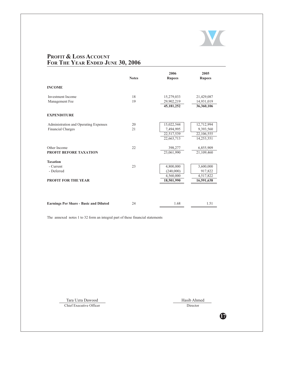

# PROFIT & LOSS ACCOUNT FOR THE YEAR ENDED JUNE 30, 2006

|                                                                          |              | 2006                                                | 2005                                                |
|--------------------------------------------------------------------------|--------------|-----------------------------------------------------|-----------------------------------------------------|
|                                                                          | <b>Notes</b> | <b>Rupees</b>                                       | <b>Rupees</b>                                       |
| <b>INCOME</b>                                                            |              |                                                     |                                                     |
| <b>Investment Income</b>                                                 | 18           | 15,279,033                                          | 21,429,087                                          |
| Management Fee                                                           | 19           | 29,902,219<br>45, 181, 252                          | 14,931,019<br>36,360,106                            |
| <b>EXPENDITURE</b>                                                       |              |                                                     |                                                     |
| Administration and Operating Expenses<br><b>Financial Charges</b>        | 20<br>21     | 15,022,544<br>7,494,995<br>22,517,539<br>22,663,713 | 12,712,994<br>9,393,560<br>22,106,555<br>14,253,551 |
| Other Income<br>PROFIT BEFORE TAXATION                                   | 22           | 398,277<br>23,061,990                               | 6,855,909<br>21,109,460                             |
| <b>Taxation</b><br>- Current<br>- Deferred<br><b>PROFIT FOR THE YEAR</b> | 23           | 4,800,000<br>(240,000)<br>4,560,000<br>18,501,990   | 3,600,000<br>917,822<br>4,517,822<br>16,591,638     |
| <b>Earnings Per Share - Basic and Diluted</b>                            | 24           | 1.68                                                | 1.51                                                |

The annexed notes 1 to 32 form an integral part of these financial statements

Tara Uzra Dawood Chief Executive Officer Hasib Ahmed Director

 $\mathbf \Phi$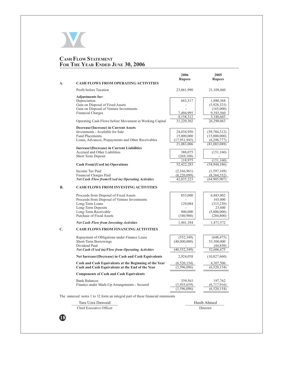

# **CASH FLOW STATEMENT<br>FOR THE YEAR ENDED JUNE 30, 2006**

|    |                                                                               | 2006                         | 2005                        |  |  |
|----|-------------------------------------------------------------------------------|------------------------------|-----------------------------|--|--|
|    | <b>CASH FLOWS FROM OPERATING ACTIVITIES</b>                                   | <b>Rupees</b>                | <b>Rupees</b>               |  |  |
| А. |                                                                               |                              |                             |  |  |
|    | Profit before Taxation                                                        | 23,061,990                   | 21,109,460                  |  |  |
|    | <b>Adjustments for:</b>                                                       |                              |                             |  |  |
|    | Depreciation                                                                  | 663,317                      | 1,880,368                   |  |  |
|    | Gain on Disposal of Fixed Assets                                              | $\overline{\phantom{a}}$     | (5,928,325)                 |  |  |
|    | Gain on Disposal of Venture Investments                                       |                              | (165,000)                   |  |  |
|    | <b>Financial Charges</b>                                                      | 7,494,995                    | 9,393,560                   |  |  |
|    | Operating Cash Flows before Movement in Working Capital                       | 8,158,312<br>31,220,302      | 5,180,603<br>26,290,063     |  |  |
|    |                                                                               |                              |                             |  |  |
|    | Decrease/(Increase) in Current Assets                                         |                              |                             |  |  |
|    | Investments - Available for Sale                                              | 24,034,950                   | (59, 784, 312)              |  |  |
|    | <b>Fund Placements</b>                                                        | 15,000,000                   | (15,000,000)                |  |  |
|    | Loans, Advances, Prepayments and Other Receivables                            | (17, 951, 945)<br>21,083,006 | (6,298,777)<br>(81,083,089) |  |  |
|    | <b>Increase/(Decrease) in Current Liabilities</b>                             |                              |                             |  |  |
|    | Accrued and Other Liabilities                                                 | 388,075                      | (151,160)                   |  |  |
|    | Short Term Deposit                                                            | (269, 100)                   |                             |  |  |
|    |                                                                               | 118,975                      | (151, 160)                  |  |  |
|    | <b>Cash From/(Used in) Operations</b>                                         | 52,422,283                   | (54, 944, 186)              |  |  |
|    | Income Tax Paid                                                               | (2,166,961)                  | (1, 597, 169)               |  |  |
|    | Financial Charges Paid                                                        | (8,220,099)                  | (8,364,552)                 |  |  |
|    | <b>Net Cash Flow from/(Used in) Operating Activities</b>                      | 42,035,223                   | (64, 905, 907)              |  |  |
|    |                                                                               |                              |                             |  |  |
| В. | <b>CASH FLOWS FROM INVESTING ACTIVITIES</b>                                   |                              |                             |  |  |
|    | Proceeds from Disposal of Fixed Assets                                        | 853,000                      | 6,883,002                   |  |  |
|    | Proceeds from Disposal of Venture Investments                                 |                              | 165,000                     |  |  |
|    | Long-Term Loans                                                               | 129,084                      | (315,230)                   |  |  |
|    | Long-Term Deposits                                                            |                              | 23,600                      |  |  |
|    | Long-Term Receivable                                                          | 800,000                      | (5,000,000)                 |  |  |
|    | Purchase of Fixed Assets                                                      | (340,900)                    | (284, 800)                  |  |  |
|    | <b>Net Cash Flow from Investing Activities</b>                                | 1,441,184                    | 1,471,572                   |  |  |
| C. | <b>CASH FLOWS FROM FINANCING ACTIVITIES</b>                                   |                              |                             |  |  |
|    | Repayment of Obligations under Finance Lease                                  | (552, 349)                   | (648, 475)                  |  |  |
|    | Short-Term Borrowings                                                         | (40,000,000)                 | 53,300,000                  |  |  |
|    | Dividend Paid                                                                 |                              | (44, 850)                   |  |  |
|    | <b>Net Cash (Used in)/Flow from Operating Activities</b>                      | (40, 552, 349)               | 52,606,675                  |  |  |
|    | Net Increase/(Decrease) in Cash and Cash Equivalents                          | 2,924,058                    | (10,827,660)                |  |  |
|    | Cash and Cash Equivalents at the Beginning of the Year                        | (6,520,154)                  | 4,307,506                   |  |  |
|    | Cash and Cash Equivalents at the End of the Year                              | (3,596,096)                  | (6,520,154)                 |  |  |
|    | <b>Components of Cash and Cash Equivalents</b>                                |                              |                             |  |  |
|    | <b>Bank Balances</b>                                                          | 339,563                      | 197,762                     |  |  |
|    | Finance under Mark-Up Arrangements - Secured                                  | (3,935,659)                  | (6,717,916)                 |  |  |
|    |                                                                               | (3,596,096)                  | (6,520,154)                 |  |  |
|    | The annexed notes 1 to 32 form an integral part of these financial statements |                              |                             |  |  |
|    | Tara Uzra Dawood                                                              |                              | Hasib Ahmed                 |  |  |
|    |                                                                               |                              |                             |  |  |

Chief Executive Officer Director

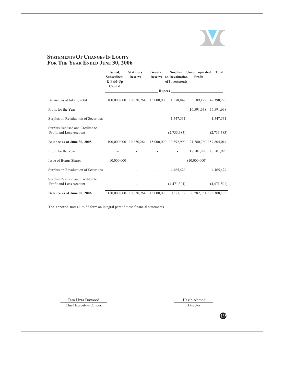

# **STATEMENTS OF CHANGES IN EQUITY**<br>**Fig. 3. The State Line 20, 200** <u>**FOR THE YEAR ENDED JUNE 30, 2006**</u>

|                                                             | Issued,<br><b>Subscribed</b><br>& Paid-Up<br>Capital | <b>Statutory</b><br><b>Reserve</b> | General              | <b>Surplus</b><br><b>Reserve</b> on Revaluation<br>of Investments | Unappropriated<br>Profit                     | <b>Total</b>          |
|-------------------------------------------------------------|------------------------------------------------------|------------------------------------|----------------------|-------------------------------------------------------------------|----------------------------------------------|-----------------------|
|                                                             |                                                      |                                    |                      |                                                                   |                                              |                       |
| Balance as at July 1, 2004                                  | 100,000,000                                          | 10,630,264                         |                      |                                                                   | 15,000,000 11,578,842 5,189,122              | 42,398,228            |
| Profit for the Year                                         |                                                      |                                    |                      | $\overline{\phantom{a}}$                                          |                                              | 16,591,638 16,591,638 |
| Surplus on Revaluation of Securities                        |                                                      |                                    | <b>All Contracts</b> | 1,547,531                                                         | $\omega_{\rm{max}}$ and $\omega_{\rm{max}}$  | 1,547,531             |
| Surplus Realised and Credited to<br>Profit and Loss Account |                                                      |                                    | <b>All Control</b>   | (2,733,383)                                                       | $\bar{\phantom{a}}$                          | (2,733,383)           |
| Balance as at June 30, 2005                                 | 100.000.000 10.630.264                               |                                    |                      |                                                                   | 15,000,000 10,392,990 21,780,760 157,804,014 |                       |
| Profit for the Year                                         |                                                      |                                    |                      | $\overline{\phantom{a}}$                                          |                                              | 18.501.990 18.501.990 |
| Issue of Bonus Shares                                       | 10,000,000                                           |                                    |                      | $\overline{\phantom{a}}$                                          | (10,000,000)                                 |                       |
| Surplus on Revaluation of Securities                        |                                                      |                                    |                      | 4,465,429                                                         | $\sim$                                       | 4,465,429             |
| Surplus Realised and Credited to<br>Profit and Loss Account |                                                      |                                    | $\sim 100$           | (4,471,301)                                                       | $\overline{\phantom{a}}$                     | (4,471,301)           |
| Balance as at June 30, 2006                                 | 110,000,000 10,630,264                               |                                    |                      |                                                                   | 15,000,000 10,387,119 30,282,751 176,300,133 |                       |

The annexed notes 1 to 32 form an integral part of these financial statements

Tara Uzra Dawoo Chief Executive Office

d Hasib Ahmed r Dire ctor

**/9**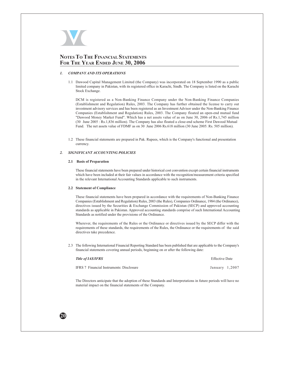

# NOTES TO THE FINANCIAL STATEMENTS FOR THE YEAR ENDED JUNE 30, 2006

#### $\mathcal{I}$ . **COMPANY AND ITS OPERATIONS**

1.1 Dawood Capital Management Limited (the Company) was incorporated on 18 September 1990 as a public limited company in Pakistan, with its registered office in Karachi, Sindh. The Company is listed on the Karachi Stock Exchange.

DCM is registered as a Non-Banking Finance Company under the Non-Banking Finance Companies (Establishment and Regulation) Rules, 2003. The Company has further obtained the license to carry out investment advisory services and has been registered as an Investment Advisor under the Non-Banking Finance Companies (Establishment and Regulation) Rules, 2003. The Company floated an open-end mutual fund "Dawood Money Market Fund". Which has a net assets value of as on June 30, 2006 of Rs.1,745 million (30 June 2005: Rs.1,836 million). The Company has also floated a close-end scheme First Dawood Mutual Fund. The net assets value of FDMF as on 30 June 2006 Rs.618 million (30 June 2005: Rs. 505 million).

1.2 These financial statements are prepared in Pak. Rupees, which is the Company's functional and presentation currency.

#### SIGNIFICANT ACCOUNTING POLICIES  $2.$

#### 2.1 Basis of Preparation

These financial statements have been prepared under historical cost convention except certain financial instruments which have been included at their fair values in accordance with the recognition/measurement criteria specified in the relevant International Accounting Standards applicable to such instruments.

#### 2.2 Statement of Compliance

These financial statements have been prepared in accordance with the requirements of Non-Banking Finance Companies (Establishment and Regulation) Rules, 2003 (the Rules), Companies Ordinance, 1984 (the Ordinance), directives issued by the Securities & Exchange Commission of Pakistan (SECP) and approved accounting standards as applicable in Pakistan. Approved accounting standards comprise of such International Accounting Standards as notified under the provisions of the Ordinance.

Wherever, the requirements of the Rules or the Ordinance or directives issued by the SECP differ with the requirements of these standards, the requirements of the Rules, the Ordinance or the requirements of the said directives take precedence.

2.3 The following International Financial Reporting Standard has been published that are applicable to the Company's financial statements covering annual periods, beginning on or after the following date:

| <b>Title of IAS/IFRS</b>                 | <b>Effective Date</b> |
|------------------------------------------|-----------------------|
| IFRS 7 Financial Instruments: Disclosure | January 1,2007        |

The Directors anticipate that the adoption of these Standards and Interpretations in future periods will have no material impact on the financial statements of the Company.

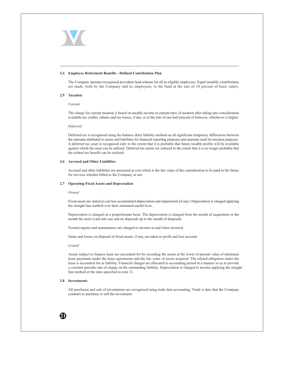

#### 2.4 Employee Retirement Benefits - Defined Contribution Plan

The Company operates recognised provident fund scheme for all its eligible employees. Equal monthly contributions are made, both by the Company and its employees, to the fund at the rate of 10 percent of basic salary.

#### 2.5 Taxation

Current

The charge for current taxation is based on taxable income at current rates of taxation after taking into consideration available tax credits, rebates and tax losses, if any, or at the rate of one-half percent of turnover, whichever is higher.

#### Deferred

Deferred tax is recognised using the balance sheet liability method on all significant temporary differences between the amounts attributed to assets and liabilities for financial reporting purposes and amounts used for taxation purposes. A deferred tax asset is recognised only to the extent that it is probable that future taxable profits will be available against which the asset can be utilized. Deferred tax assets are reduced to the extent that it is no longer probable that the related tax benefit can be realized.

#### 2.6 Accrued and Other Liabilities

Accrued and other liabilities are measured at cost which is the fair value of the consideration to be paid in the future for services whether billed to the Company or not.

#### 2.7 Operating Fixed Assets and Depreciation

#### Owned

Fixed assets are stated at cost less accumulated depreciation and impairment (if any). Depreciation is charged applying the straight line method over their estimated useful lives.

Depreciation is charged on a proportionate basis. The depreciation is charged from the month of acquisition or the month the asset is put into use and on disposals up to the month of disposals.

Normal repairs and maintenance are charged to income as and when incurred.

Gains and losses on disposal of fixed assets, if any, are taken to profit and loss account.

Leased

Assets subject to finance lease are accounted for by recording the assets at the lower of present value of minimum lease payments under the lease agreements and the fair value of assets acquired. The related obligation under the lease is accounted for as liability. Financial charges are allocated to accounting period in a manner so as to provide a constant periodic rate of charge on the outstanding liability. Depreciation is charged to income applying the straight line method at the rates specified in note 11.

## 2.8 Investments

 $21$ 

All purchases and sale of investments are recognised using trade date accounting. Trade is date that the Company commits to purchase or sell the investment.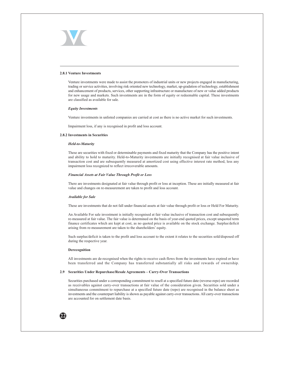

#### 2.8.1 Venture Investments

Venture investments were made to assist the promoters of industrial units or new projects engaged in manufacturing, trading or service activities, involving risk oriented new technology, market, up-gradation of technology, establishment and enhancement of products, services, other supporting infrastructure or manufacture of new or value added products for new usage and markets. Such investments are in the form of equity or redeemable capital. These investments are classified as available for sale.

#### **Equity Investments**

Venture investments in unlisted companies are carried at cost as there is no active market for such investments.

Impairment loss, if any is recognised in profit and loss account.

#### 2.8.2 Investments in Securities

#### Held-to-Maturity

These are securities with fixed or determinable payments and fixed maturity that the Company has the positive intent and ability to hold to maturity. Held-to-Maturity investments are initially recognised at fair value inclusive of transaction cost and are subsequently measured at amortized cost using effective interest rate method, less any impairment loss recognized to reflect irrecoverable amounts.

#### Financial Assets at Fair Value Through Profit or Loss

There are investments designated at fair value through profit or loss at inception. These are initially measured at fair value and changes on re-measurement are taken to profit and loss account.

#### **Available for Sale**

These are investments that do not fall under financial assets at fair value through profit or loss or Held For Maturity.

An Available For sale investment is initially recognised at fair value inclusive of transaction cost and subsequently re-measured at fair value. The fair value is determined on the basis of year-end quoted prices, except unquoted term finance certificates which are kept at cost, as no quoted price is available on the stock exchange. Surplus/deficit arising from re-measurement are taken to the shareholders' equity.

Such surplus/deficit is taken to the profit and loss account to the extent it relates to the securities sold/disposed off during the respective year.

#### Derecognition

All investments are de-recognised when the rights to receive cash flows from the investments have expired or have been transferred and the Company has transferred substantially all risks and rewards of ownership.

#### 2.9 Securities Under Repurchase/Resale Agreements - Carry-Over Transactions

Securities purchased under a corresponding commitment to resell at a specified future date (reverse-repo) are recorded as receivables against carry-over transactions at fair value of the consideration given. Securities sold under a simultaneous commitment to repurchase at a specified future date (repo) are recognised in the balance sheet as investments and the counterpart liability is shown as payable against carry-over transactions. All carry-over transactions are accounted for on settlement date basis.

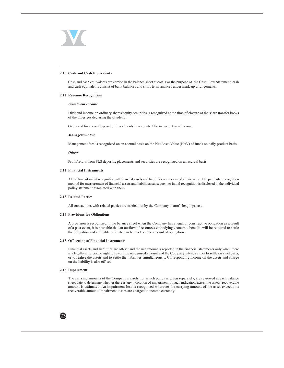

#### 2.10 Cash and Cash Equivalents

Cash and cash equivalents are carried in the balance sheet at cost. For the purpose of the Cash Flow Statement, cash and cash equivalents consist of bank balances and short-term finances under mark-up arrangements.

#### 2.11 Revenue Recognition

## **Investment Income**

Dividend income on ordinary shares/equity securities is recognized at the time of closure of the share transfer books of the investees declaring the dividend.

Gains and losses on disposal of investments is accounted for in current year income.

#### **Management Fee**

Management fees is recognized on an accrual basis on the Net Asset Value (NAV) of funds on daily product basis.

#### **Others**

Profit/return from PLS deposits, placements and securities are recognized on an accrual basis.

#### 2.12 Financial Instruments

At the time of initial recognition, all financial assets and liabilities are measured at fair value. The particular recognition method for measurement of financial assets and liabilities subsequent to initial recognition is disclosed in the individual policy statement associated with them.

## 2.13 Related Parties

All transactions with related parties are carried out by the Company at arm's length prices.

#### 2.14 Provisions for Obligations

A provision is recognized in the balance sheet when the Company has a legal or constructive obligation as a result of a past event, it is probable that an outflow of resources embodying economic benefits will be required to settle the obligation and a reliable estimate can be made of the amount of obligation.

#### 2.15 Off-setting of Financial Instruments

Financial assets and liabilities are off-set and the net amount is reported in the financial statements only when there is a legally enforceable right to set-off the recognised amount and the Company intends either to settle on a net basis, or to realise the assets and to settle the liabilities simultaneously. Corresponding income on the assets and charge on the liability is also off-set.

#### 2.16 Impairment

The carrying amounts of the Company's assets, for which policy is given separately, are reviewed at each balance sheet date to determine whether there is any indication of impairment. If such indication exists, the assets' recoverable amount is estimated. An impairment loss is recognised wherever the carrying amount of the asset exceeds its recoverable amount. Impairment losses are charged to income currently.

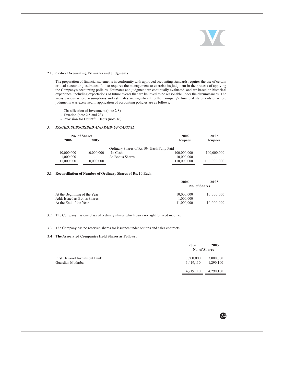24

#### 2.17 Critical Accounting Estimates and Judgments

The preparation of financial statements in conformity with approved accounting standards requires the use of certain critical accounting estimates. It also requires the management to exercise its judgment in the process of applying the Company's accounting policies. Estimates and judgment are continually evaluated and are based on historical experience, including expectations of future events that are believed to be reasonable under the circumstances. The areas various where assumptions and estimates are significant to the Company's financial statements or where judgments was exercised in application of accounting policies are as follows;

- Classification of Investment (note 2.8)
- Taxation (note 2.5 and 23)
- Provision for Doubtful Debts (note 16)

#### ISSUED, SUBSCRIBED AND PAID-UP CAPITAL  $3.$

| <b>No. of Shares</b> |            |                                             | 2006          | 2005          |
|----------------------|------------|---------------------------------------------|---------------|---------------|
| 2006<br>2005         |            |                                             | <b>Rupees</b> | <b>Rupees</b> |
|                      |            | Ordinary Shares of Rs. 10/- Each Fully Paid |               |               |
| 10,000,000           | 10,000,000 | In Cash                                     | 100,000,000   | 100,000,000   |
| 1,000,000            | ۰          | As Bonus Shares                             | 10,000,000    | -             |
| 11,000,000           | 10,000,000 |                                             | 110,000,000   | 100,000,000   |

## 3.1 Reconciliation of Number of Ordinary Shares of Rs. 10 Each;

|                              | 2006          | 2005       |
|------------------------------|---------------|------------|
|                              | No. of Shares |            |
| At the Beginning of the Year | 10,000,000    | 10,000,000 |
| Add: Issued as Bonus Shares  | 1.000.000     | ۰          |
| At the End of the Year       | 11,000,000    | 10,000,000 |

#### $3.2$ The Company has one class of ordinary shares which carry no right to fixed income.

#### 3.3 The Company has no reserved shares for issuance under options and sales contracts.

#### 3.4 The Associated Companies Hold Shares as Follows:

|                              | 2006          | 2005          |
|------------------------------|---------------|---------------|
|                              |               | No. of Shares |
| First Dawood Investment Bank | 3,300,000     | 3,000,000     |
| Guardian Modarba             | 1.419.110     | 1.290.100     |
|                              | 4 7 1 9 1 1 0 | 4.290.100     |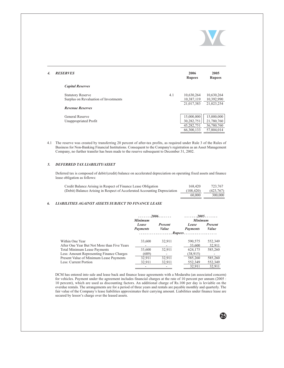| <b>RESERVES</b>                       |     | 2006<br><b>Rupees</b> | 2005<br><b>Rupees</b> |
|---------------------------------------|-----|-----------------------|-----------------------|
| <b>Capital Reserves</b>               |     |                       |                       |
| <b>Statutory Reserve</b>              | 4.1 | 10,630,264            | 10,630,264            |
| Surplus on Revaluation of Investments |     | 10,387,119            | 10,392,990            |
|                                       |     | 21,017,383            | 21,023,254            |
| <b>Revenue Reserves</b>               |     |                       |                       |
| <b>General Reserve</b>                |     | 15,000,000            | 15,000,000            |
| Unappropriated Profit                 |     | 30,282,751            | 21,780,760            |
|                                       |     | 45,282,751            | 36,780,760            |
|                                       |     | 66,300,133            | 57,804,014            |

4.1 The reserve was created by transferring 20 percent of after-tax profits, as required under Rule 3 of the Rules of Business for Non-Banking Financial Institutions. Consequent to the Company's registration as an Asset Management Company, no further transfer has been made to the reserve subsequent to December 31, 2002.

#### DEFERRED TAX LIABILITY/ASSET  $5.$

 $\boldsymbol{4}$ 

Deferred tax is composed of debit/(credit) balance on accelerated depreciation on operating fixed assets and finance lease obligation as follows:

| Credit Balance Arising in Respect of Finance Lease Obligation             | 168,420    | 723.767   |
|---------------------------------------------------------------------------|------------|-----------|
| (Debit) Balance Arising in Respect of Accelerated Accounting Depreciation | (108, 420) | (423,767) |
|                                                                           | 60,000     | 300,000   |

#### 6. **LIABILITIES AGAINST ASSETS SUBJECT TO FINANCE LEASE**

|                                             |                 |                | <u> - - - - - - 2005 - - - - - - -</u> |                |
|---------------------------------------------|-----------------|----------------|----------------------------------------|----------------|
|                                             | <b>Minimum</b>  |                | <b>Minimum</b>                         |                |
|                                             | Lease           | <b>Present</b> | Lease                                  | <b>Present</b> |
|                                             | <b>Payments</b> | Value          | <b>Payments</b>                        | Value          |
|                                             | <u>.</u>        |                | <i>Rupees</i>                          |                |
| Within One Year                             | 33,600          | 32,911         | 590,575                                | 552,349        |
| After One Year But Not More than Five Years | ۰               |                | 33,600                                 | 32.911         |
| Total Minimum Lease Payments                | 33,600          | 32,911         | 624,175                                | 585,260        |
| Less: Amount Representing Finance Charges   | (689)           |                | (38, 915)                              |                |
| Present Value of Minimum Lease Payments     | 32,911          | 32,911         | 585,260                                | 585,260        |
| Less: Current Portion                       | 32.911          | 32,911         | 552,349                                | 552,349        |
|                                             |                 |                | 32,911                                 | 32,911         |

DCM has entered into sale and lease back and finance lease agreements with a Modaraba (an associated concern) for vehicles. Payment under the agreement includes financial charges at the rate of 10 percent per annum (2005: 10 percent), which are used as discounting factors. An additional charge of Rs.100 per day is leviable on the overdue rentals. The arrangements are for a period of three years and rentals are payable monthly and quarterly. The fair value of the Company's lease liabilities approximates their carrying amount. Liabilities under finance lease are secured by lessor's charge over the leased assets.

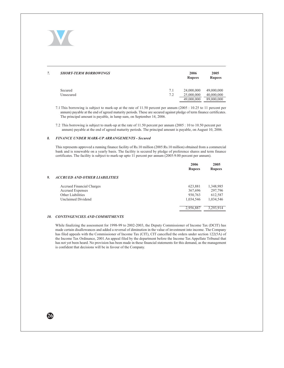

| <b>SHORT-TERM BORROWINGS</b> |            | 2006<br><b>Rupees</b>                  | 2005<br><b>Rupees</b>                  |
|------------------------------|------------|----------------------------------------|----------------------------------------|
| Secured<br>Unsecured         | 7.1<br>7.2 | 24,000,000<br>25,000,000<br>49,000,000 | 49,000,000<br>40,000,000<br>89,000,000 |

7.1 This borrowing is subject to mark-up at the rate of 11.50 percent per annum (2005 : 10.25 to 11 percent per annum) payable at the end of agreed maturity periods. These are secured against pledge of term finance certificates. The principal amount is payable, in lump sum, on September 14, 2006.

7.2 This borrowing is subject to mark-up at the rate of 11.50 percent per annum (2005: 10 to 10.50 percent per annum) payable at the end of agreed maturity periods. The principal amount is payable, on August 10, 2006.

#### 8. FINANCE UNDER MARK-UP ARRANGEMENTS - Secured

This represents approved a running finance facility of Rs.10 million (2005:Rs.10 million) obtained from a commercial bank and is renewable on a yearly basis. The facility is secured by pledge of preference shares and term finance certificates. The facility is subject to mark-up upto 11 percent per annum (2005:9.00 percent per annum).

|                                      | 2006<br><b>Rupees</b> | 2005<br><b>Rupees</b> |
|--------------------------------------|-----------------------|-----------------------|
| <b>ACCRUED AND OTHER LIABILITIES</b> |                       |                       |
| <b>Accrued Financial Charges</b>     | 623,881               | 1,348,985             |
| <b>Accrued Expenses</b>              | 367,696               | 297,796               |
| Other Liabilities                    | 930,763               | 612,587               |
| Unclaimed Dividend                   | 1,034,546             | 1.034.546             |
|                                      | 2.956.887             | 3.293.914             |

#### 10. CONTINGENCIES AND COMMITMENTS

While finalizing the assessment for 1998-99 to 2002-2003, the Deputy Commissioner of Income Tax (DCIT) has made certain disallowances and added a reversal of diminution in the value of investment into income. The Company has filed appeals with the Commissioner of Income Tax (CIT), CIT cancelled the orders under section 122(5A) of the Income Tax Ordinance, 2001.An appeal filed by the department before the Income Tax Appellate Tribunal that has not yet been heard. No provision has been made in these financial statements for this demand, as the management is confident that decisions will be in favour of the Company.

26

9.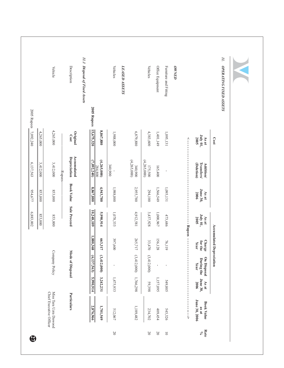| Miss Tara Uzra Dawood<br>Chief Executive Officer                                |                                   |                                 |                                  |                                  |                                       |                                                  |                    |                                     |
|---------------------------------------------------------------------------------|-----------------------------------|---------------------------------|----------------------------------|----------------------------------|---------------------------------------|--------------------------------------------------|--------------------|-------------------------------------|
|                                                                                 | Company Policy                    |                                 | 853,000                          | 853,000                          | 3,412,000<br>Rupees.                  | 4,265,000                                        |                    | Vehicle                             |
| Particulars                                                                     | Mode of Disposal                  |                                 | <b>Sale Proceed</b>              | <b>Book Value</b>                | Accumulated<br>Depreciation           | Original<br>Cost                                 |                    | Description                         |
|                                                                                 |                                   |                                 |                                  |                                  |                                       |                                                  |                    | 11.1 Disposal of Fixed Assets       |
| 5,990,914<br>2,876,966                                                          | (6,137,563)                       | 1,880,368                       | 10,248,109                       | 8,867,880                        | (7,092,240)                           | 15,675,320                                       | <b>2005 Rupees</b> |                                     |
| 3,242,231<br>1,701,549                                                          | (3,412,000)                       | 663,317                         | 5,990,914                        | 4,943,780                        | (4,265,000)<br>284,800                | 8,867,880                                        |                    |                                     |
| 1,475,933<br>512,067                                                            |                                   | 397,600                         | 1,078,333                        | 1,988,000                        | 340,900                               | 1,988,000                                        |                    | <b>Vehicles</b>                     |
|                                                                                 |                                   |                                 |                                  |                                  |                                       |                                                  |                    | LEASED ASSETS                       |
| 1,766,298<br>1,189,482                                                          | (3,412,000)                       | 265,717                         | 4,912,581                        | 2,955,780                        | (4,265,000)<br>340,900                | 6,879,880                                        |                    |                                     |
| 59,398<br>234,702                                                               | (3,412,000)                       | 33,470                          | 3,437,928                        | 294,100                          | (4,265,000)<br>175,500                | 4,383,600                                        |                    | <b>Vehicles</b>                     |
| 1,157,095<br>409,454                                                            | $\mathbf{I}$                      | 156,128                         | 1,000,967                        | 1,566,549                        | 165,400                               | 1,401,149                                        |                    | Office Equipment                    |
| 549,805<br>545,326                                                              |                                   | 76,119                          | 473,686                          | 1,095,131                        |                                       | 1,095,131                                        |                    | Furniture and Fitting               |
|                                                                                 |                                   |                                 |                                  |                                  |                                       |                                                  |                    | <b>ОН/КРО</b>                       |
| <br> <br>V                                                                      |                                   |                                 | ---- Rupees ---                  |                                  |                                       | $\begin{array}{c} \n\lambda \\ \mu\n\end{array}$ |                    |                                     |
| <b>June 30,</b><br>As at<br>2006<br>June 30, 2006<br><b>Book Value</b><br>as at | On Disposal<br>During the<br>Year | Charge<br>for the<br>Year       | July 01,<br>As at<br><b>2005</b> | <b>June 30,</b><br>As at<br>2006 | Transfers/<br>Addition/<br>(Deletion) | July 01,<br><b>As at</b><br><b>2005</b>          |                    |                                     |
|                                                                                 |                                   | <b>Accumulated Depreciation</b> |                                  |                                  |                                       | Cost                                             |                    |                                     |
|                                                                                 |                                   |                                 |                                  |                                  |                                       |                                                  |                    | И.<br><b>OPERATING FIXED ASSETS</b> |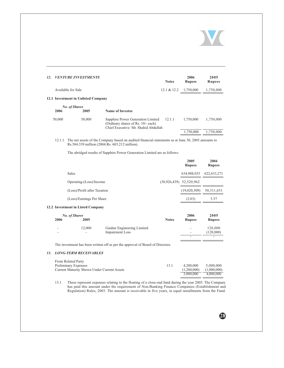

28

| 12.                | <b>VENTURE INVESTMENTS</b>          |                                                                                                                 | <b>Notes</b> | 2006<br><b>Rupees</b> | 2005<br><b>Rupees</b> |
|--------------------|-------------------------------------|-----------------------------------------------------------------------------------------------------------------|--------------|-----------------------|-----------------------|
| Available for Sale |                                     |                                                                                                                 | 12.1 & 12.2  | 1.750,000             | 1,750,000             |
|                    | 12.1 Investment in Unlisted Company |                                                                                                                 |              |                       |                       |
| 2006               | <b>No. of Shares</b><br>2005        | <b>Name of Investee</b>                                                                                         |              |                       |                       |
| 50,000             | 50,000                              | Sapphire Power Generation Limited<br>(Ordinary shares of Rs. 10/- each)<br>Chief Executive: Mr. Shahid Abdullah | 12.1.1       | 1.750,000             | 1,750,000             |
|                    |                                     |                                                                                                                 |              | 1,750,000             | 1,750,000             |
|                    |                                     |                                                                                                                 |              |                       |                       |

## 12.1.1 The net assets of the Company based on audited financial statements as at June 30, 2005 amounts to Rs.584.339 million (2004:Rs. 603.212 million).

The abridged results of Sapphire Power Generation Limited are as follows:

|                              | 2005<br><b>Rupees</b>       | 2004<br><b>Rupees</b> |
|------------------------------|-----------------------------|-----------------------|
| Sales                        | 634,988,035                 | 622, 633, 271         |
| Operating-(Loss)/Income      | $(30,926,439)$ $52,520,962$ |                       |
| (Loss)/Profit after Taxation | (19,020,509)                | 50, 311, 651          |
| (Loss)/Earnings Per Share    | (2.03)                      | 5.37                  |

## 12.2 Investment in Listed Company

|      | No. of Shares            |                            |              | 2006          | 2005          |
|------|--------------------------|----------------------------|--------------|---------------|---------------|
| 2006 | 2005                     |                            | <b>Notes</b> | <b>Rupees</b> | <b>Rupees</b> |
|      | 12.000                   | Gauhar Engineering Limited |              |               | 120,000       |
| -    | $\overline{\phantom{a}}$ | <b>Impairment Loss</b>     |              | ۰.            | (120,000)     |
|      |                          |                            |              | -             |               |

The investment has been written off as per the approval of Board of Directors.

## 13. LONG-TERM RECEIVABLES

| From Related Party                                 |       |             |             |
|----------------------------------------------------|-------|-------------|-------------|
| Preliminary Expenses                               | -13.1 | 4,200,000   | 5.000.000   |
| <b>Current Maturity Shown Under Current Assets</b> |       | (1.200,000) | (1,000,000) |
|                                                    |       | 3,000,000   | 4.000.000   |
|                                                    |       |             |             |

13.1 These represent expenses relating to the floating of a close-end fund during the year 2005. The Company has paid this amount under the requirement of Non-Banking Finance Companies (Establishment and Regulation) Rules, 2003. The amount is receivable in five years, in equal installments from the Fund.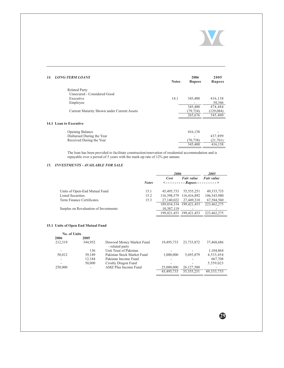

| <b>Related Party</b><br>Unsecured - Considered Good<br>14.1<br>416,138<br>Executive<br>345,400<br>58,346<br>Employee<br>474,484<br>345,400<br>(129, 084)<br>Current Maturity Shown under Current Assets<br>(79, 724)<br>265,676<br>345,400<br>14.1 Loan to Executive | 2005<br><b>Rupees</b> |
|----------------------------------------------------------------------------------------------------------------------------------------------------------------------------------------------------------------------------------------------------------------------|-----------------------|
|                                                                                                                                                                                                                                                                      |                       |
|                                                                                                                                                                                                                                                                      |                       |
|                                                                                                                                                                                                                                                                      |                       |
|                                                                                                                                                                                                                                                                      |                       |
|                                                                                                                                                                                                                                                                      |                       |
|                                                                                                                                                                                                                                                                      |                       |
|                                                                                                                                                                                                                                                                      |                       |
|                                                                                                                                                                                                                                                                      |                       |
| Opening Balance<br>416,138                                                                                                                                                                                                                                           |                       |
| Disbursed During the Year<br>437,899                                                                                                                                                                                                                                 |                       |
| Received During the Year<br>(21,761)<br>(70, 738)                                                                                                                                                                                                                    |                       |
| 345,400<br>416,138                                                                                                                                                                                                                                                   |                       |

The loan has been provided to facilitate construction/renovation of residential accommodation and is repayable over a period of 5 years with the mark-up rate of  $12\%$  per annum.

## 15. INVESTMENTS - AVAILABLE FOR SALE

|              | 2006       |                   | <i>2005</i>                                                                                                |
|--------------|------------|-------------------|------------------------------------------------------------------------------------------------------------|
|              | Cost       | <b>Fair</b> value | <b>Fair</b> value                                                                                          |
| <b>Notes</b> |            |                   |                                                                                                            |
| 15.1         | 45.495.733 | 55, 555, 251      | 49, 333, 735                                                                                               |
| 15.2         |            | 116,416,892       | 106,543,980                                                                                                |
| 15.3         | 27,140,022 | 27.449.310        | 67,584,560                                                                                                 |
|              |            |                   | 223,462,275                                                                                                |
|              | 10.387.119 |                   |                                                                                                            |
|              |            |                   | 223,462,275                                                                                                |
|              |            |                   | $\langle$ --------- Rupees ---------><br>116,398,579<br>189.034.334 199.421.453<br>199.421.453 199.421.453 |

## 15.1 Units of Open End Mutual Fund

| <b>No. of Units</b> |         |                                             |            |              |              |
|---------------------|---------|---------------------------------------------|------------|--------------|--------------|
| 2006                | 2005    |                                             |            |              |              |
| 212.319             | 344,952 | Dawood Money Market Fund<br>- related party | 19,495,733 | 23,733,872   | 37,468,686   |
| ۰                   | 136     | Unit Trust of Pakistan                      |            |              | 1,104,864    |
| 50.012              | 39,149  | Pakistan Stock Market Fund                  | 1.000.000  | 5,693,879    | 4,533,454    |
|                     | 12.184  | Pakistan Income Fund                        |            |              | 667,708      |
|                     | 50,000  | Crosby Dragon Fund                          |            |              | 5,559,023    |
| 250,000             | ٠       | AMZ Plus Income Fund                        | 25,000,000 | 26,127,500   |              |
|                     |         |                                             | 45,495,733 | 55, 555, 251 | 49, 333, 735 |
|                     |         |                                             |            |              |              |

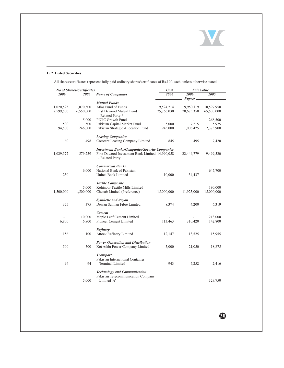

30

## 15.2 Listed Securities

All shares/certificates represent fully paid ordinary shares/certificates of Rs.10/- each, unless otherwise stated.

| <b>No of Shares/Certificates</b> |           |                                                                           | Cost       | <b>Fair Value</b>           |            |  |
|----------------------------------|-----------|---------------------------------------------------------------------------|------------|-----------------------------|------------|--|
| 2006                             | 2005      | <b>Name of Companies</b>                                                  | 2006       | 2006<br>Rupees <sub>-</sub> | 2005       |  |
|                                  |           | <b>Mutual Funds</b>                                                       |            |                             |            |  |
| 1,020,525                        | 1,070,500 | Atlas Fund of Funds                                                       | 9,524,214  | 9,950,119                   | 10,597,950 |  |
| 7,599,500                        | 6,550,000 | First Dawood Mutual Fund<br>- Related Party *                             | 75,766,030 | 70,675,350                  | 65,500,000 |  |
| $\overline{\phantom{a}}$         | 5,000     | PICIC Growth Fund                                                         | ٠          |                             | 268,500    |  |
| 500                              | 500       | Pakistan Capital Market Fund                                              | 5,000      | 7,215                       | 5,975      |  |
| 94,500                           | 246,000   | Pakistan Strategic Allocation Fund                                        | 945,000    | 1,006,425                   | 2,373,900  |  |
|                                  |           | <b>Leasing Companies</b>                                                  |            |                             |            |  |
| 60                               | 498       | <b>Crescent Leasing Company Limited</b>                                   | 845        | 495                         | 7,420      |  |
|                                  |           | <b>Investment Banks/Companies/Security Companies</b>                      |            |                             |            |  |
| 1,029,577                        | 579,239   | First Dawood Investment Bank Limited 14,990,058<br>- Related Party        |            | 22,444,779                  | 9,499,520  |  |
|                                  |           | <b>Commercial Banks</b>                                                   |            |                             |            |  |
| 250                              | 6,000     | National Bank of Pakistan<br>United Bank Limited                          | 10,000     | 34,437                      | 647,700    |  |
|                                  |           | <b>Textile Composite</b>                                                  |            |                             |            |  |
|                                  | 5,000     | Kohinoor Textile Mills Limited                                            |            |                             | 190,000    |  |
| 1,500,000                        | 1,500,000 | Chenab Limited (Preference)                                               | 15,000,000 | 11,925,000                  | 15,000,000 |  |
|                                  |           | <b>Synthetic and Rayon</b>                                                |            |                             |            |  |
| 375                              | 375       | Dewan Salman Fibre Limited                                                | 8,374      | 4,200                       | 6,319      |  |
|                                  |           | <b>Cement</b>                                                             |            |                             |            |  |
| ä,                               | 10,000    | Maple Leaf Cement Limited<br>Pioneer Cement Limited                       |            |                             | 218,000    |  |
| 6,800                            | 6,800     |                                                                           | 113,463    | 310,420                     | 142,800    |  |
|                                  |           | Refinery                                                                  |            |                             |            |  |
| 156                              | 100       | <b>Attock Refinery Limited</b>                                            | 12,147     | 13,525                      | 15,955     |  |
|                                  |           | <b>Power Generation and Distribution</b>                                  |            |                             |            |  |
| 500                              | 500       | Kot Addu Power Company Limited                                            | 5,000      | 21,050                      | 18,875     |  |
|                                  |           | <b>Transport</b>                                                          |            |                             |            |  |
| 94                               | 94        | Pakistan International Container<br><b>Terminal Limited</b>               | 943        | 7,252                       | 2,416      |  |
|                                  |           |                                                                           |            |                             |            |  |
|                                  |           | <b>Technology and Communication</b><br>Pakistan Telecommunication Company |            |                             |            |  |
|                                  | 5,000     | Limited 'A'                                                               |            |                             | 329,750    |  |
|                                  |           |                                                                           |            |                             |            |  |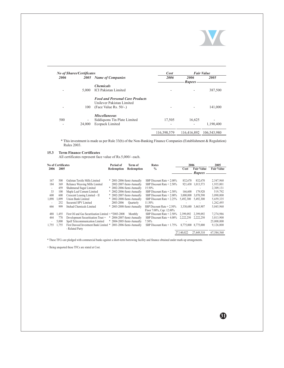

**/**

| <b>No of Shares/Certificates</b> |                              | Cost                                   |             | <b>Fair Value</b> |             |
|----------------------------------|------------------------------|----------------------------------------|-------------|-------------------|-------------|
| 2006                             | 2005                         | <b>Name of Companies</b>               | 2006        | 2006              | 2005        |
|                                  |                              |                                        |             | <i>Rupees</i>     |             |
|                                  |                              | <b>Chemicals</b>                       |             |                   |             |
|                                  | 5.000                        | <b>ICI Pakistan Limited</b>            |             |                   | 387,500     |
|                                  |                              | <b>Food and Personal Care Products</b> |             |                   |             |
|                                  |                              | Unilever Pakistan Limited              |             |                   |             |
|                                  | 100                          | (Face Value Rs. $50/-$ .)              |             |                   | 141,000     |
|                                  |                              | <b>Miscellaneous</b>                   |             |                   |             |
| 500                              | $\qquad \qquad \blacksquare$ | Siddigsons Tin Plate Limited           | 17,505      | 16,625            |             |
|                                  | 24,000                       | <b>Ecopack Limited</b>                 |             |                   | 1,190,400   |
|                                  |                              |                                        | 116,398,579 | 116,416,892       | 106,543,980 |

\* This investment is made as per Rule 33(b) of the Non-Banking Finance Companies (Establishment & Regulation) Rules 2003.

## **15.3 Lerm Finance Certificates**

All certificates represent face value of Rs.5,000/- each.

|       | <b>No of Certificates</b> |                                                                | Period of                 | Term of                   | Rates                       | 2006       |                     | 2005              |
|-------|---------------------------|----------------------------------------------------------------|---------------------------|---------------------------|-----------------------------|------------|---------------------|-------------------|
| 2006  | 2005                      |                                                                | Redemption                | Redemption                | $\frac{0}{0}$               | Cost       | <b>Fair Value</b>   | <b>Fair Value</b> |
|       |                           |                                                                |                           |                           |                             |            | <b>Rupees</b>       |                   |
| 167   | 500                       | Gulistan Textile Mills Limited                                 |                           | * 2001-2006-Semi-Annually | SBP Discount Rate + 2.00%   | 832,670    | 832,670             | 2,547,960         |
| 184   | 369                       | Reliance Weaving Mills Limited                                 |                           | 2002-2007-Semi-Annually   | SBP Discount Rate $+2.50\%$ | 921.430    | 1,013,573           | 1,935,001         |
| ٠     | 459                       | Shahmurad Sugar Limited                                        |                           | * 2002-2006-Semi-Annually | 15.50%                      |            |                     | 2,309,131         |
| 33    | 100                       | Maple Leaf Cement Limited                                      |                           | * 2002-2006-Semi-Annually | SBP Discount Rate $+2.50\%$ | 166,600    | 179.928             | 519,792           |
| 600   | 600                       | Crescent Leasing Limited - II                                  |                           | * 2002-2007-Semi-Annually | SBP Discount Rate $+2.00\%$ | 3,000,000  | 3,070,590           | 3,090,000         |
| 1.098 | 1.099                     | Union Bank Limited                                             |                           | * 2002-2008-Semi-Annually | SBP Discount Rate $+2.25\%$ | 5.492.300  | 5.492.300           | 5,659,335         |
|       | 252                       | Securetel SPV Limited                                          | 2003-2006                 | Quarterly                 | 11.50%                      |            |                     | 1,262,495         |
| 666   | 999                       | Ittehad Chemicals Limited                                      |                           | * 2003-2008-Semi-Annually | SBP Discount Rate $+2.50\%$ | 3.330.680  | 3.463,907           | 5,045,960         |
|       |                           |                                                                |                           |                           | Floor 7:00%, Cap: 12.00%    |            |                     |                   |
| 488   | 1.455                     | First Oil and Gas Securitisation Limited $+$ *2003-2008        |                           | Monthly                   | SBP Discount Rate $+2.50\%$ | 2.399.092  | 2.399.092           | 7,274,986         |
| 444   | 778                       | Development Securitisation Trust +                             | * 2004-2007-Semi-Annually |                           | SBP Discount Rate $+4.00\%$ | 2.222.250  | 2,222,250           | 3,813,900         |
|       | 5,000                     | Spell Telecommunication Limited                                | * 2004-2005-Semi-Annually |                           | 7.50%                       |            |                     | 25,000,000        |
| 1,755 | 1.755                     | First Dawood Investment Bank Limited * 2001-2006-Semi-Annually |                           |                           | SBP Discount Rate $+1.75\%$ |            | 8.775.000 8.775.000 | 9,126,000         |
|       |                           | - Related Party                                                |                           |                           |                             |            |                     |                   |
|       |                           |                                                                |                           |                           |                             | 27.140.022 | 27,449,310          | 67.584.560        |

\* These TFCs are pledged with commercial banks against a short-term borrowing facility and finance obtained under mark-up arrangements.

+ Being unquoted these TFCs are stated at Cost.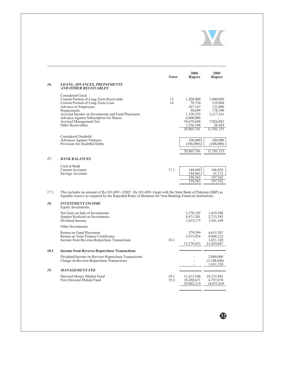

|     |                                                                                                                                                                                                                                                                                      | <b>Notes</b> | 2006<br><b>Rupees</b>                                                                                       | 2005<br><b>Rupees</b>                                                                        |
|-----|--------------------------------------------------------------------------------------------------------------------------------------------------------------------------------------------------------------------------------------------------------------------------------------|--------------|-------------------------------------------------------------------------------------------------------------|----------------------------------------------------------------------------------------------|
| 16. | <b>LOANS, ADVANCES, PREPAYMENTS</b><br><b>AND OTHER RECEIVABLES</b>                                                                                                                                                                                                                  |              |                                                                                                             |                                                                                              |
|     | Considered Good<br>Current Portion of Long-Term Receivable<br>Current Portion of Long-Term Loan<br>Advance to Employees<br>Prepayments<br>Accrued Income on Investments and Fund Placement<br>Advance Against Subscription for Shares<br>Accrued Management Fee<br>Other Receivables | 13<br>14     | 1,200,000<br>79,724<br>107,167<br>30,699<br>1,150,355<br>6,000,000<br>19,679,608<br>1,556,188<br>29,803,741 | 1,000,000<br>129,084<br>122,000<br>178,398<br>3,217,161<br>7,026,083<br>28,429<br>11,701,155 |
|     | Considered Doubtful<br><b>Advances Against Ventures</b><br>Provision for Doubtful Debts                                                                                                                                                                                              |              | 100,000<br>(100,000)<br>29,803,741                                                                          | 100,000<br>(100,000)<br>11,701,155                                                           |
| 17. | <b>BANK BALANCES</b>                                                                                                                                                                                                                                                                 |              |                                                                                                             |                                                                                              |
|     | Cash at Bank<br><b>Current Accounts</b><br>Savings Accounts                                                                                                                                                                                                                          | 17.1         | 144,600<br>194,963<br>339,563<br>339,563                                                                    | 146,050<br>51,712<br>197,762<br>197,762                                                      |

17.1 This includes an amount of Rs.101,609/ $\cdot$  (2005 : Rs.101,609/ $\cdot$ ) kept with the State Bank of Pakistan (SBP) as liquidity reserve as required by the Repealed Rules of Business for Non-Banking Financial Institutions.

| 18.  | <b>INVESTMENT INCOME</b><br>Equity Investments                                                                 |              |                                        |                                                   |
|------|----------------------------------------------------------------------------------------------------------------|--------------|----------------------------------------|---------------------------------------------------|
|      | Net Gain on Sale of Investments<br>Surplus Realized on Investments<br>Dividend Income                          |              | 3,378,105<br>4,471,301<br>1,635,175    | 1,419,586<br>2,733,383<br>1,541,169               |
|      | Other Investments                                                                                              |              |                                        |                                                   |
|      | Return on Fund Placement<br>Return on Term Finance Certificates<br>Income from Reverse-Repurchase Transactions | 18.1         | 279,399<br>5,515,054<br>15,279,033     | 4,615,507<br>9,468,122<br>1,651,320<br>21.429.087 |
| 18.1 | <b>Income from Reverse-Repurchase Transactions</b>                                                             |              |                                        |                                                   |
|      | Dividend/Income on Reverse-Repurchase Transactions<br>Charge on Reverse-Repurchase Transactions                |              |                                        | 2,800,000<br>(1,148,680)<br>1,651,320             |
| 19.  | <b>MANAGEMENT FEE</b>                                                                                          |              |                                        |                                                   |
|      | Dawood Money Market Fund<br>First Dawood Mutual Fund                                                           | 19.1<br>19.2 | 11,613,548<br>18,288,671<br>29,902,219 | 10,133,941<br>4,797,078<br>14,931,019             |

\$2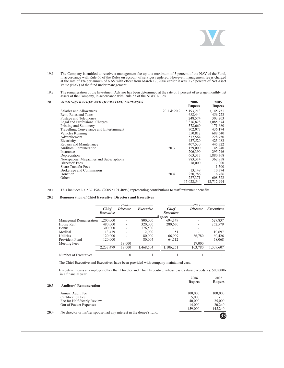

19.1 The Company is entitled to receive a management fee up to a maximum of 3 percent of the NAV of the Fund, in accordance with Rule 66 of the Rules on account of services rendered. However, management fee is charged at the rate of  $1\%$  per annum of NAV with effect from March 17, 2006 earlier it was 0.75 percent of Net Asset Value (NAV) of the fund under management.

#### 19.2 The remuneration of the Investment Advisor has been determined at the rate of 3 percent of average monthly net assets of the Company, in accordance with Rule 53 of the NBFC Rules.

| 20. | ADMINISTRATION AND OPERATING EXPENSES    |             | 2006<br><b>Rupees</b> | 2005<br><b>Rupees</b> |
|-----|------------------------------------------|-------------|-----------------------|-----------------------|
|     | Salaries and Allowances                  | 20.1 & 20.2 | 5,193,213             | 3,145,751             |
|     | Rent, Rates and Taxes                    |             | 688,444               | 456,723               |
|     | Postage and Telephones                   |             | 248,574               | 303,203               |
|     | Legal and Professional Charges           |             | 3,316,828             | 3,085,674             |
|     | Printing and Stationery                  |             | 578,660               | 171,680               |
|     | Travelling, Conveyance and Entertainment |             | 702,073               | 436,174               |
|     | Vehicles Running                         |             | 550,812               | 688,640               |
|     | Advertisement                            |             | 577,564               | 228,750               |
|     | Electricity                              |             | 437,520               | 423,083               |
|     | Repairs and Maintenance                  |             | 407,530               | 445,322               |
|     | Auditors' Remuneration                   | 20.3        | 159,000               | 145,240               |
|     | Insurance                                |             | 206,390               | 295,246               |
|     | Depreciation                             |             | 663,317               | 1,880,368             |
|     | Newspapers, Magazines and Subscriptions  |             | 783,314               | 362,958               |
|     | Directors' Fees                          |             | 18,000                | 17,000                |
|     | <b>Share Transfer Fees</b>               |             |                       | 1,500                 |
|     | Brokerage and Commission                 |             | 13,149                | 10,374                |
|     | Donation                                 | 20.4        | 250,786               | 6,786                 |
|     | Others                                   |             | 227,371               | 608,522               |
|     |                                          |             | 15,022,544            | 12,712,994            |

#### 20.1 This includes  $Rs.2\frac{37,198}{-}$  (2005 : 191,409/-) representing contributions to staff retirement benefits.

## zu.*2* Remuneration of Unief Executive, Directors and Executives

|                                   |                           | 2006            |           |                                            | 2005            |                   |
|-----------------------------------|---------------------------|-----------------|-----------|--------------------------------------------|-----------------|-------------------|
|                                   | <b>Chief</b><br>Executive | <b>Director</b> | Executive | <b>Chief</b><br>Executive<br><b>Rupees</b> | <b>Director</b> | <b>Executives</b> |
| Managerial Remuneration 1,200,000 |                           |                 | 800,000   | 694.149                                    |                 | 627,837           |
| House Rent                        | 480,000                   |                 | 320,000   | 280,630                                    |                 | 252,579           |
| <b>Bonus</b>                      | 300,000                   |                 | 176,500   |                                            |                 |                   |
| Medical                           | 13.479                    |                 | 12,000    | 51                                         |                 | 10.697            |
| Utilities                         | 120.000                   |                 | 80,000    | 66,909                                     | 86,780          | 60,426            |
| Provident Fund                    | 120.000                   |                 | 80,004    | 64.512                                     |                 | 58,068            |
| Meeting Fees                      |                           | 18,000          |           |                                            | 17,000          |                   |
|                                   | 2,233,479                 | 18,000          | 1,468,504 | 1.106.251                                  | 103,780         | 1.009.607         |
| Number of Executives              |                           |                 |           |                                            |                 |                   |

The Chief Executive and Executives have been provided with company-maintained cars.

Executive means an employee other than Director and Chief Executive, whose basic salary exceeds Rs. 500,000/in a financial year.

| 20.3 | <b>Auditors' Remuneration</b>                                       | 2006<br><b>Rupees</b> | 2005<br><b>Rupees</b> |
|------|---------------------------------------------------------------------|-----------------------|-----------------------|
|      | Annual Audit Fee                                                    | 100,000               | 100,000               |
|      | Certification Fee                                                   | 5.000                 |                       |
|      | Fee for Half-Yearly Review                                          | 40,000                | 25,000                |
|      | Out of Pocket Expenses                                              | 14,000                | 20,240                |
|      |                                                                     | 159.000               | 145,240               |
| 20.4 | No director or his/her spouse had any interest in the donee's fund. |                       | 33                    |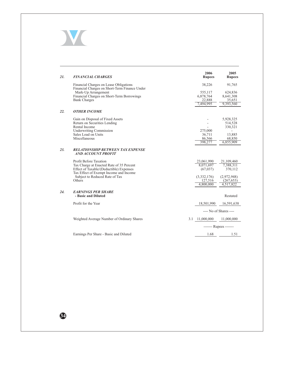

| 21. | <b>FINANCIAL CHARGES</b>                                                                                                                                                                            | 2006<br><b>Rupees</b>                                                       | 2005<br><b>Rupees</b>                                                        |
|-----|-----------------------------------------------------------------------------------------------------------------------------------------------------------------------------------------------------|-----------------------------------------------------------------------------|------------------------------------------------------------------------------|
|     | Financial Charges on Lease Obligations<br>Financial Charges on Short-Term Finance Under                                                                                                             | 38,226                                                                      | 91,765                                                                       |
|     | Mark-Up Arrangement<br>Financial Charges on Short-Term Borrowings<br><b>Bank Charges</b>                                                                                                            | 555,117<br>6,878,764<br>22.888<br>7,494,995                                 | 624,836<br>8,641,308<br>35.651<br>9,393,560                                  |
| 22. | <b>OTHER INCOME</b>                                                                                                                                                                                 |                                                                             |                                                                              |
|     | Gain on Disposal of Fixed Assets<br>Return on Securities Lending<br>Rental Income<br><b>Underwriting Commission</b><br>Sales Load on Units<br>Miscellaneous                                         | 275,000<br>36,711<br>86,566<br>398,277                                      | 5,928,325<br>514,528<br>330,321<br>13,885<br>68,850<br>6,855,909             |
| 23. | <b>RELATIONSHIP BETWEEN TAX EXPENSE</b><br>AND ACCOUNT PROFIT                                                                                                                                       |                                                                             |                                                                              |
|     | Profit Before Taxation<br>Tax Charge at Enacted Rate of 35 Percent<br>Effect of Taxable/(Deductible) Expenses<br>Tax Effect of Exempt Income and Income<br>Subject to Reduced Rate of Tax<br>Others | 23,061,990<br>8,071,697<br>(67, 037)<br>(3,332,176)<br>127,516<br>4,800,000 | 21,109,460<br>7,388,311<br>370,112<br>(2,972,948)<br>(267, 653)<br>4,517,822 |
| 24. | <b>EARNINGS PER SHARE</b><br>- Basic and Diluted                                                                                                                                                    |                                                                             | Restated                                                                     |
|     | Profit for the Year                                                                                                                                                                                 | 18,501,990                                                                  | 16,591,638                                                                   |
|     |                                                                                                                                                                                                     |                                                                             | ---- No of Shares ----                                                       |
|     | Weighted Average Number of Ordinary Shares                                                                                                                                                          | 3.1 11,000,000                                                              | 11,000,000                                                                   |
|     |                                                                                                                                                                                                     |                                                                             | ------- Rupees -------                                                       |
|     | Earnings Per Share - Basic and Diluted                                                                                                                                                              | 1.68                                                                        | 1.51                                                                         |

64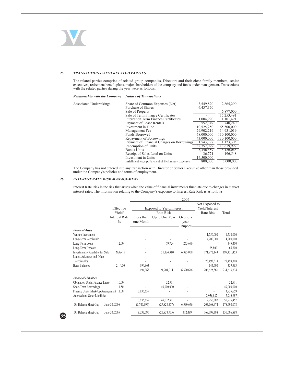

#### 25. TRANSACTIONS WITH RELATED PARTIES

The related parties comprise of related group companies, Directors and their close family members, senior executives, retirement benefit plans, major shareholders of the company and funds under management. Transactions wit

## Relationship with the Company Nature of Transactions

Associate

| ed Undertakings | Share of Common Expenses (Net)                      | 3,549,820  | 2,865,290   |
|-----------------|-----------------------------------------------------|------------|-------------|
|                 | Purchase of Shares                                  | 6,437,370  |             |
|                 | Sale of Property                                    |            | 6,877,000   |
|                 | Sale of Term Finance Certificates                   |            | 15,253,491  |
|                 | Interest on Term Finance Certificates               | 1,004,990  | 1.101.491   |
|                 | Payment of Lease Rentals                            | 552,349    | 740,240     |
|                 | Investment in Fund                                  | 10,525,250 | 65,500,000  |
|                 | Management Fee                                      | 29,902,219 | 14.931.019  |
|                 | <b>Funds Borrowed</b>                               | 68,000,000 | 130,100,000 |
|                 | Repayment of Borrowings                             | 43,000,000 | 130,100,000 |
|                 | Payment of Financial Charges on Borrowings          | 1,543,397  | 1,123,305   |
|                 | Redemption of Units                                 | 32,757,029 | 13,619,997  |
|                 | <b>Bonus Units</b>                                  | 3.346.389  | 3,126,063   |
|                 | Receipt of Sales Load on Units                      | 36,771     | 196,548     |
|                 | Investment in Units                                 | 14,500,000 |             |
|                 | Installment Receipt/Payment of Preliminary Expenses | 800,000    | 5,000,000   |
|                 |                                                     |            |             |

The Company has not entered into any transaction with Director or Senior Executive other than those provided under the Company's policies and terms of employment.

#### 26. **INTEREST RATE RISK MANAGEMENT**

Interest Rate Risk is the risk that arises when the value of financial instruments fluctuate due to changes in market interest rates. The information relating to the Company's exposure to Interest Rate Risk is as follows:

|                                         |                      |                                  |                | 2006           |                |             |
|-----------------------------------------|----------------------|----------------------------------|----------------|----------------|----------------|-------------|
|                                         |                      |                                  |                |                | Not Exposed to |             |
|                                         | Effective            | <b>Exposed to Yield/Interest</b> |                | Yield/Interest |                |             |
|                                         | Yield/               | Rate Risk                        |                | Rate Risk      | Total          |             |
|                                         | <b>Interest Rate</b> | Less than                        | Up to One Year | Over one       |                |             |
|                                         | $\frac{0}{0}$        | one Month                        |                | year           |                |             |
|                                         |                      |                                  |                | Rupees-        |                |             |
| <b>Financial Assets</b>                 |                      |                                  |                |                |                |             |
| Venture Investment                      |                      |                                  |                |                | 1,750,000      | 1,750,000   |
| Long-Term Receivable                    |                      |                                  |                |                | 4,200,000      | 4,200,000   |
| Long-Term Loans                         | 12.00                |                                  | 79,724         | 265,676        |                | 345,400     |
| Long-Term Deposits                      |                      |                                  |                |                | 65,800         | 65,800      |
| Investments - Available for Sale        | Note-15              |                                  | 21,124,310     | 6,325,000      | 171,972,143    | 199,421,453 |
| Loans, Advances and Other-              |                      |                                  |                |                |                |             |
| Receivables                             |                      |                                  |                |                | 28,493,318     | 28,493,318  |
| <b>Bank Balances</b>                    | $2 - 4.50$           | 194.963                          |                |                | 144.600        | 339,563     |
|                                         |                      | 194.963                          | 21.204,034     | 6.590.676      | 206.625.861    | 234,615,534 |
|                                         |                      |                                  |                |                |                |             |
| <b>Financial Liabilities</b>            |                      |                                  |                |                |                |             |
| <b>Obligation Under Finance Lease</b>   | 10.00                |                                  | 32,911         |                |                | 32,911      |
| Short-Term Borrowings                   | 11.50                |                                  | 49,000,000     |                |                | 49,000,000  |
| Finance Under Mark-Up Arrangement 11.00 |                      | 3,935,659                        |                |                |                | 3,935,659   |
| Accrued and Other Liabilities           |                      |                                  |                |                | 2,956,887      | 2,956,887   |
|                                         |                      | 3,935,659                        | 49.032.911     | ä,             | 2,956,887      | 55,925,457  |
| On Balance Sheet Gap                    | June 30, 2006        | (3,740,696)                      | (27,828,877)   | 6,590,676      | 203,668,974    | 178,690,078 |
| On Balance Sheet Gap                    | June 30, 2005        | 8,333,796                        | (21, 838, 705) | 312,489        | 169,799,308    | 156,606,888 |

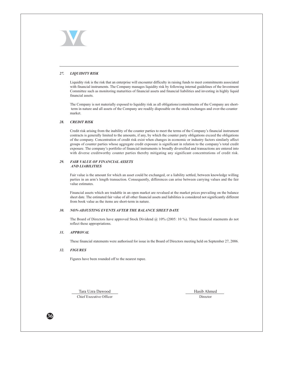#### 27. **LIQUIDITY RISK**

Liquidity risk is the risk that an enterprise will encounter difficulty in raising funds to meet commitments associated with financial instruments. The Company manages liquidity risk by following internal guidelines of the Investment Committee such as monitoring maturities of financial assets and financial liabilities and investing in highly liquid financial assets.

The Company is not materially exposed to liquidity risk as all obligations/commitments of the Company are shortterm in nature and all assets of the Company are readily disposable on the stock exchanges and over-the-counter market.

#### **CREDIT RISK** 28.

Credit risk arising from the inability of the counter parties to meet the terms of the Company's financial instrument contracts is generally limited to the amounts, if any, by which the counter party obligations exceed the obligations of the company. Concentration of credit risk exist when changes in economic or industry factors similarly affect groups of counter parties whose aggregate credit exposure is significant in relation to the company's total credit exposure. The company's portfolio of financial instruments is broadly diversified and transactions are entered into with diverse creditworthy counter parties thereby mitigating any significant concentrations of credit risk.

#### **FAIR VALUE OF FINANCIAL ASSETS** 29. **AND LIARILITIES**

Fair value is the amount for which an asset could be exchanged, or a liability settled, between knowledge willing parties in an arm's length transaction. Consequently, differences can arise between carrying values and the fair value estimates.

Financial assets which are tradable in an open market are revalued at the market prices prevailing on the balance sheet date. The estimated fair value of all other financial assets and liabilities is considered not significantly different from book value as the items are short-term in nature.

#### NON-ADJUSTING EVENTS AFTER THE BALANCE SHEET DATE  $30.$

The Board of Directors have approved Stock Dividend  $(2010)(2005)$ : 10%). These financial staements do not reflect these appropriations.

#### $31$ **APPROVAL**

These financial statements were authorised for issue in the Board of Directors meeting held on September 27, 2006.

#### 32. **FIGURES**

Figures have been rounded off to the nearest rupee.

Tara Uzra Dawood Chief Executive Officer Hasib Ahmed

Director

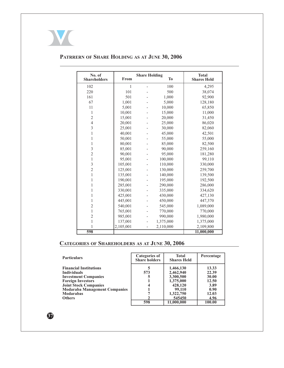

| No. of<br><b>Shareholders</b> | From      | <b>Share Holding</b><br><b>To</b> |           | <b>Total</b><br><b>Shares Held</b> |
|-------------------------------|-----------|-----------------------------------|-----------|------------------------------------|
| 102                           | 1         |                                   | 100       | 4,295                              |
| 220                           | 101       |                                   | 500       | 38,074                             |
| 161                           | 501       |                                   | 1,000     | 92,900                             |
| 67                            | 1,001     |                                   | 5,000     | 128,180                            |
| 11                            | 5,001     |                                   | 10,000    | 65,850                             |
| 1                             | 10,001    |                                   | 15,000    | 11,000                             |
| $\overline{2}$                | 15,001    |                                   | 20,000    | 31,450                             |
| $\overline{4}$                | 20,001    |                                   | 25,000    | 86,020                             |
| 3                             | 25,001    |                                   | 30,000    | 82,060                             |
| 1                             | 40,001    |                                   | 45,000    | 42,501                             |
| 1                             | 50,001    |                                   | 55,000    | 55,000                             |
| 1                             | 80,001    |                                   | 85,000    | 82,500                             |
| 3                             | 85,001    |                                   | 90,000    | 259,160                            |
| $\overline{c}$                | 90,001    |                                   | 95,000    | 181,280                            |
| 1                             | 95,001    |                                   | 100,000   | 99,110                             |
| 3                             | 105,001   |                                   | 110,000   | 330,000                            |
| $\overline{2}$                | 125,001   |                                   | 130,000   | 259,700                            |
| 1                             | 135,001   |                                   | 140,000   | 139,500                            |
| 1                             | 190,001   |                                   | 195,000   | 192,500                            |
| 1                             | 285,001   |                                   | 290,000   | 286,000                            |
| 1                             | 330,001   |                                   | 335,000   | 334,620                            |
| 1                             | 425,001   |                                   | 430,000   | 427,130                            |
| 1                             | 445,001   |                                   | 450,000   | 447,370                            |
| $\overline{2}$                | 540,001   |                                   | 545,000   | 1,089,000                          |
| 1                             | 765,001   |                                   | 770,000   | 770,000                            |
| $\overline{c}$                | 985,001   |                                   | 990,000   | 1,980,000                          |
| 1                             | 137,001   |                                   | 1,375,000 | 1,375,000                          |
| 1                             | 2,105,001 | $\overline{a}$                    | 2,110,000 | 2,109,800                          |
| 598                           |           |                                   |           | 11,000,000                         |

# PATRRERN OF SHARE HOLDING AS AT JUNE 30, 2006

# **CATEGORIES OF SHAREHOLDERS AS AT JUNE 30, 2006**

| <b>Particulars</b>                   | <b>Categories of</b><br><b>Share holders</b> | <b>Total</b><br><b>Shares Held</b> | Percentage |
|--------------------------------------|----------------------------------------------|------------------------------------|------------|
| <b>Financial Institutions</b>        |                                              | 1,466,130                          | 13.33      |
| <b>Individuals</b>                   | 573                                          | 2,462,940                          | 22.39      |
| <b>Investment Companies</b>          |                                              | 3,300,500                          | 30.00      |
| <b>Foreign Investors</b>             |                                              | 1,375,000                          | 12.50      |
| <b>Joint Stock Companies</b>         |                                              | 428,120                            | 3.89       |
| <b>Modaraba Management Companies</b> |                                              | 99,110                             | 0.90       |
| <b>Modarabas</b>                     |                                              | 1,322,750                          | 12.03      |
| <b>Others</b>                        |                                              | 545450                             | 4.96       |
|                                      | 598                                          | 11.000.000                         | 100.00     |